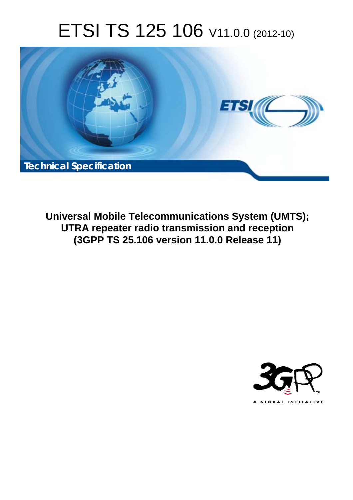# ETSI TS 125 106 V11.0.0 (2012-10)



**Universal Mobile Telecommunications System (UMTS); UTRA repeater radio transmission and reception (3GPP TS 25.106 version 11.0.0 Release 11)** 

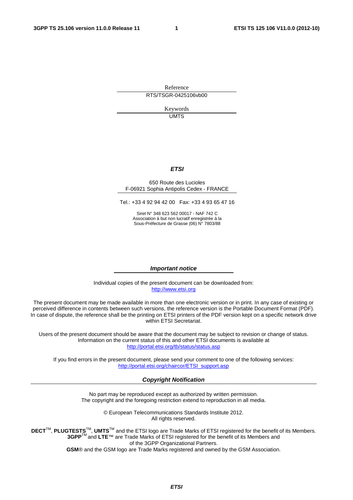Reference RTS/TSGR-0425106vb00

> Keywords UMTS

#### *ETSI*

#### 650 Route des Lucioles F-06921 Sophia Antipolis Cedex - FRANCE

Tel.: +33 4 92 94 42 00 Fax: +33 4 93 65 47 16

Siret N° 348 623 562 00017 - NAF 742 C Association à but non lucratif enregistrée à la Sous-Préfecture de Grasse (06) N° 7803/88

#### *Important notice*

Individual copies of the present document can be downloaded from: [http://www.etsi.org](http://www.etsi.org/)

The present document may be made available in more than one electronic version or in print. In any case of existing or perceived difference in contents between such versions, the reference version is the Portable Document Format (PDF). In case of dispute, the reference shall be the printing on ETSI printers of the PDF version kept on a specific network drive within ETSI Secretariat.

Users of the present document should be aware that the document may be subject to revision or change of status. Information on the current status of this and other ETSI documents is available at <http://portal.etsi.org/tb/status/status.asp>

If you find errors in the present document, please send your comment to one of the following services: [http://portal.etsi.org/chaircor/ETSI\\_support.asp](http://portal.etsi.org/chaircor/ETSI_support.asp)

#### *Copyright Notification*

No part may be reproduced except as authorized by written permission. The copyright and the foregoing restriction extend to reproduction in all media.

> © European Telecommunications Standards Institute 2012. All rights reserved.

DECT<sup>™</sup>, PLUGTESTS<sup>™</sup>, UMTS<sup>™</sup> and the ETSI logo are Trade Marks of ETSI registered for the benefit of its Members. **3GPP**TM and **LTE**™ are Trade Marks of ETSI registered for the benefit of its Members and of the 3GPP Organizational Partners.

**GSM**® and the GSM logo are Trade Marks registered and owned by the GSM Association.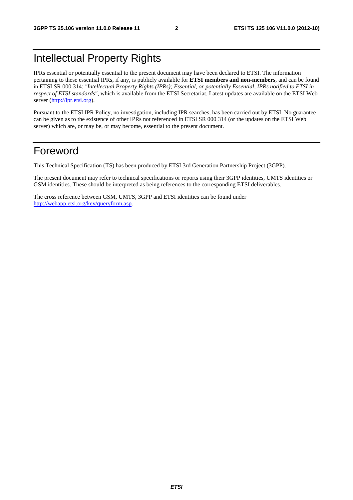# Intellectual Property Rights

IPRs essential or potentially essential to the present document may have been declared to ETSI. The information pertaining to these essential IPRs, if any, is publicly available for **ETSI members and non-members**, and can be found in ETSI SR 000 314: *"Intellectual Property Rights (IPRs); Essential, or potentially Essential, IPRs notified to ETSI in respect of ETSI standards"*, which is available from the ETSI Secretariat. Latest updates are available on the ETSI Web server ([http://ipr.etsi.org\)](http://webapp.etsi.org/IPR/home.asp).

Pursuant to the ETSI IPR Policy, no investigation, including IPR searches, has been carried out by ETSI. No guarantee can be given as to the existence of other IPRs not referenced in ETSI SR 000 314 (or the updates on the ETSI Web server) which are, or may be, or may become, essential to the present document.

# Foreword

This Technical Specification (TS) has been produced by ETSI 3rd Generation Partnership Project (3GPP).

The present document may refer to technical specifications or reports using their 3GPP identities, UMTS identities or GSM identities. These should be interpreted as being references to the corresponding ETSI deliverables.

The cross reference between GSM, UMTS, 3GPP and ETSI identities can be found under [http://webapp.etsi.org/key/queryform.asp.](http://webapp.etsi.org/key/queryform.asp)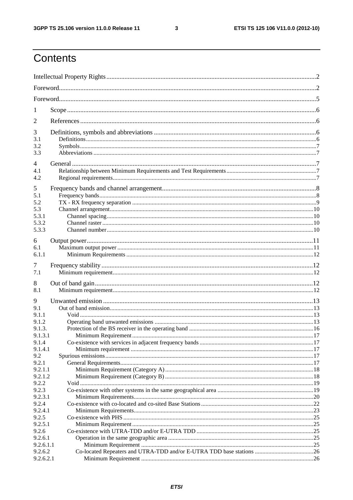$\mathbf{3}$ 

# Contents

| 1                |  |
|------------------|--|
| 2                |  |
| 3                |  |
| 3.1              |  |
| 3.2<br>3.3       |  |
| 4                |  |
| 4.1              |  |
| 4.2              |  |
| 5                |  |
| 5.1              |  |
| 5.2<br>5.3       |  |
| 5.3.1            |  |
| 5.3.2            |  |
| 5.3.3            |  |
| 6                |  |
| 6.1              |  |
| 6.1.1            |  |
| 7                |  |
| 7.1              |  |
| 8                |  |
| 8.1              |  |
|                  |  |
| 9<br>9.1         |  |
| 9.1.1            |  |
| 9.1.2            |  |
| 9.1.3.           |  |
| 9.1.3.1          |  |
| 9.1.4            |  |
| 9.1.4.1          |  |
| 9.2<br>9.2.1     |  |
| 9.2.1.1          |  |
| 9.2.1.2          |  |
| 9.2.2            |  |
| 9.2.3            |  |
| 9.2.3.1          |  |
| 9.2.4<br>9.2.4.1 |  |
| 9.2.5            |  |
| 9.2.5.1          |  |
| 9.2.6            |  |
| 9.2.6.1          |  |
| 9.2.6.1.1        |  |
| 9.2.6.2          |  |
| 9.2.6.2.1        |  |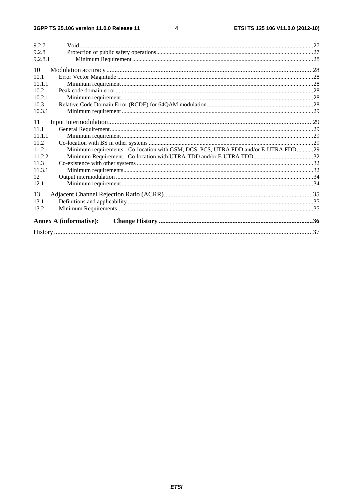$\overline{\mathbf{4}}$ 

| 9.2.7                                                                                       |  |
|---------------------------------------------------------------------------------------------|--|
| 9.2.8                                                                                       |  |
| 9.2.8.1                                                                                     |  |
| 10                                                                                          |  |
| 10 <sub>1</sub>                                                                             |  |
| 10.1.1                                                                                      |  |
| 10.2                                                                                        |  |
| 10.2.1                                                                                      |  |
| 10.3                                                                                        |  |
| 10.3.1                                                                                      |  |
| 11                                                                                          |  |
| 11.1                                                                                        |  |
| 11.1.1                                                                                      |  |
| 11.2                                                                                        |  |
| Minimum requirements - Co-location with GSM, DCS, PCS, UTRA FDD and/or E-UTRA FDD29<br>1121 |  |
| 11.2.2                                                                                      |  |
| 11.3                                                                                        |  |
| 11.3.1                                                                                      |  |
| 12                                                                                          |  |
| 12.1                                                                                        |  |
| 13                                                                                          |  |
| 13.1                                                                                        |  |
| 13.2                                                                                        |  |
| <b>Annex A (informative):</b>                                                               |  |
|                                                                                             |  |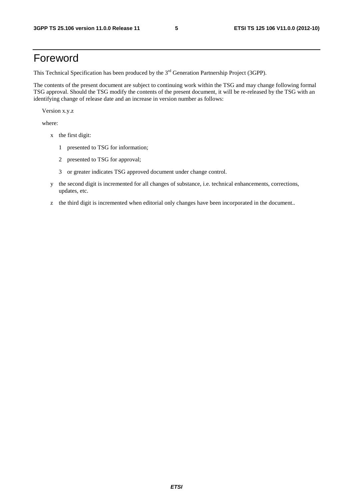# Foreword

This Technical Specification has been produced by the 3<sup>rd</sup> Generation Partnership Project (3GPP).

The contents of the present document are subject to continuing work within the TSG and may change following formal TSG approval. Should the TSG modify the contents of the present document, it will be re-released by the TSG with an identifying change of release date and an increase in version number as follows:

Version x.y.z

where:

- x the first digit:
	- 1 presented to TSG for information;
	- 2 presented to TSG for approval;
	- 3 or greater indicates TSG approved document under change control.
- y the second digit is incremented for all changes of substance, i.e. technical enhancements, corrections, updates, etc.
- z the third digit is incremented when editorial only changes have been incorporated in the document..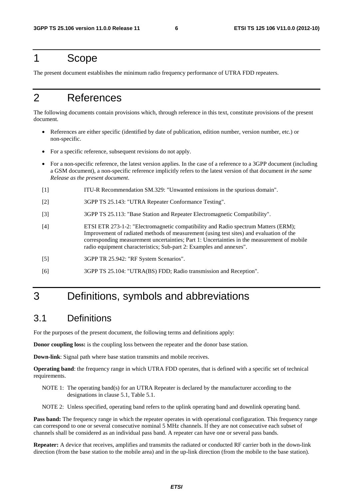# 1 Scope

The present document establishes the minimum radio frequency performance of UTRA FDD repeaters.

# 2 References

The following documents contain provisions which, through reference in this text, constitute provisions of the present document.

- References are either specific (identified by date of publication, edition number, version number, etc.) or non-specific.
- For a specific reference, subsequent revisions do not apply.
- For a non-specific reference, the latest version applies. In the case of a reference to a 3GPP document (including a GSM document), a non-specific reference implicitly refers to the latest version of that document *in the same Release as the present document*.
- [1] ITU-R Recommendation SM.329: "Unwanted emissions in the spurious domain".
- [2] 3GPP TS 25.143: "UTRA Repeater Conformance Testing".
- [3] 3GPP TS 25.113: "Base Station and Repeater Electromagnetic Compatibility".
- [4] ETSI ETR 273-1-2: "Electromagnetic compatibility and Radio spectrum Matters (ERM); Improvement of radiated methods of measurement (using test sites) and evaluation of the corresponding measurement uncertainties; Part 1: Uncertainties in the measurement of mobile radio equipment characteristics; Sub-part 2: Examples and annexes".
- [5] 3GPP TR 25.942: "RF System Scenarios".
- [6] 3GPP TS 25.104: "UTRA(BS) FDD; Radio transmission and Reception".

# 3 Definitions, symbols and abbreviations

## 3.1 Definitions

For the purposes of the present document, the following terms and definitions apply:

**Donor coupling loss:** is the coupling loss between the repeater and the donor base station.

**Down-link**: Signal path where base station transmits and mobile receives.

**Operating band**: the frequency range in which UTRA FDD operates, that is defined with a specific set of technical requirements.

- NOTE 1: The operating band(s) for an UTRA Repeater is declared by the manufacturer according to the designations in clause 5.1, Table 5.1.
- NOTE 2: Unless specified, operating band refers to the uplink operating band and downlink operating band.

**Pass band:** The frequency range in which the repeater operates in with operational configuration. This frequency range can correspond to one or several consecutive nominal 5 MHz channels. If they are not consecutive each subset of channels shall be considered as an individual pass band. A repeater can have one or several pass bands.

**Repeater:** A device that receives, amplifies and transmits the radiated or conducted RF carrier both in the down-link direction (from the base station to the mobile area) and in the up-link direction (from the mobile to the base station).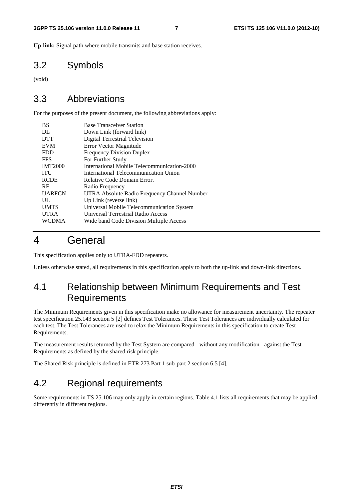**Up-link:** Signal path where mobile transmits and base station receives.

## 3.2 Symbols

(void)

## 3.3 Abbreviations

For the purposes of the present document, the following abbreviations apply:

| <b>Base Transceiver Station</b>              |
|----------------------------------------------|
| Down Link (forward link)                     |
| Digital Terrestrial Television               |
| Error Vector Magnitude                       |
| <b>Frequency Division Duplex</b>             |
| For Further Study                            |
| International Mobile Telecommunication-2000  |
| International Telecommunication Union        |
| Relative Code Domain Error.                  |
| Radio Frequency                              |
| UTRA Absolute Radio Frequency Channel Number |
| Up Link (reverse link)                       |
| Universal Mobile Telecommunication System    |
| Universal Terrestrial Radio Access           |
| Wide band Code Division Multiple Access      |
|                                              |

# 4 General

This specification applies only to UTRA-FDD repeaters.

Unless otherwise stated, all requirements in this specification apply to both the up-link and down-link directions.

# 4.1 Relationship between Minimum Requirements and Test Requirements

The Minimum Requirements given in this specification make no allowance for measurement uncertainty. The repeater test specification 25.143 section 5 [2] defines Test Tolerances. These Test Tolerances are individually calculated for each test. The Test Tolerances are used to relax the Minimum Requirements in this specification to create Test Requirements.

The measurement results returned by the Test System are compared - without any modification - against the Test Requirements as defined by the shared risk principle.

The Shared Risk principle is defined in ETR 273 Part 1 sub-part 2 section 6.5 [4].

# 4.2 Regional requirements

Some requirements in TS 25.106 may only apply in certain regions. Table 4.1 lists all requirements that may be applied differently in different regions.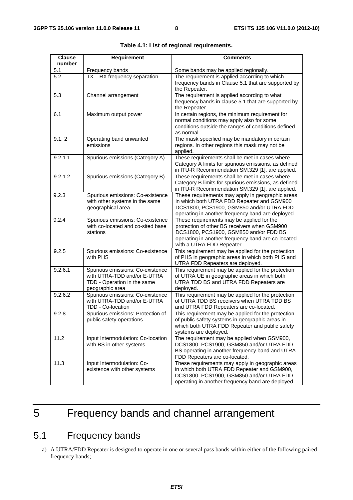| <b>Clause</b> | <b>Requirement</b>                                                                                                | Comments                                                                                                                                                                                                               |
|---------------|-------------------------------------------------------------------------------------------------------------------|------------------------------------------------------------------------------------------------------------------------------------------------------------------------------------------------------------------------|
| number        |                                                                                                                   |                                                                                                                                                                                                                        |
| 5.1           | Frequency bands                                                                                                   | Some bands may be applied regionally.                                                                                                                                                                                  |
| 5.2           | TX - RX frequency separation                                                                                      | The requirement is applied according to which<br>frequency bands in Clause 5.1 that are supported by<br>the Repeater.                                                                                                  |
| 5.3           | Channel arrangement                                                                                               | The requirement is applied according to what<br>frequency bands in clause 5.1 that are supported by<br>the Repeater.                                                                                                   |
| 6.1           | Maximum output power                                                                                              | In certain regions, the minimum requirement for<br>normal conditions may apply also for some<br>conditions outside the ranges of conditions defined<br>as normal.                                                      |
| 9.1.2         | Operating band unwanted<br>emissions                                                                              | The mask specified may be mandatory in certain<br>regions. In other regions this mask may not be<br>applied.                                                                                                           |
| 9.2.1.1       | Spurious emissions (Category A)                                                                                   | These requirements shall be met in cases where<br>Category A limits for spurious emissions, as defined<br>in ITU-R Recommendation SM.329 [1], are applied.                                                             |
| 9.2.1.2       | Spurious emissions (Category B)                                                                                   | These requirements shall be met in cases where<br>Category B limits for spurious emissions, as defined<br>in ITU-R Recommendation SM.329 [1], are applied.                                                             |
| 9.2.3         | Spurious emissions: Co-existence<br>with other systems in the same<br>geographical area                           | These requirements may apply in geographic areas<br>in which both UTRA FDD Repeater and GSM900<br>DCS1800, PCS1900, GSM850 and/or UTRA FDD<br>operating in another frequency band are deployed.                        |
| 9.2.4         | Spurious emissions: Co-existence<br>with co-located and co-sited base<br>stations                                 | These requirements may be applied for the<br>protection of other BS receivers when GSM900<br>DCS1800, PCS1900, GSM850 and/or FDD BS<br>operating in another frequency band are co-located<br>with a UTRA FDD Repeater. |
| 9.2.5         | Spurious emissions: Co-existence<br>with PHS                                                                      | This requirement may be applied for the protection<br>of PHS in geographic areas in which both PHS and<br>UTRA FDD Repeaters are deployed.                                                                             |
| 9.2.6.1       | Spurious emissions: Co-existence<br>with UTRA-TDD and/or E-UTRA<br>TDD - Operation in the same<br>geographic area | This requirement may be applied for the protection<br>of UTRA UE in geographic areas in which both<br>UTRA TDD BS and UTRA FDD Repeaters are<br>deployed.                                                              |
| 9.2.6.2       | Spurious emissions: Co-existence<br>with UTRA-TDD and/or E-UTRA<br>TDD - Co-location                              | This requirement may be applied for the protection<br>of UTRA TDD BS receivers when UTRA TDD BS<br>and UTRA FDD Repeaters are co-located.                                                                              |
| 9.2.8         | Spurious emissions: Protection of<br>public safety operations                                                     | This requirement may be applied for the protection<br>of public safety systems in geographic areas in<br>which both UTRA FDD Repeater and public safety<br>systems are deployed.                                       |
| 11.2          | Input Intermodulation: Co-location<br>with BS in other systems                                                    | The requirement may be applied when GSM900,<br>DCS1800, PCS1900, GSM850 and/or UTRA FDD<br>BS operating in another frequency band and UTRA-<br>FDD Repeaters are co-located.                                           |
| 11.3          | Input Intermodulation: Co-<br>existence with other systems                                                        | These requirements may apply in geographic areas<br>in which both UTRA FDD Repeater and GSM900,<br>DCS1800, PCS1900, GSM850 and/or UTRA FDD<br>operating in another frequency band are deployed.                       |

**Table 4.1: List of regional requirements.** 

# 5 Frequency bands and channel arrangement

# 5.1 Frequency bands

a) A UTRA/FDD Repeater is designed to operate in one or several pass bands within either of the following paired frequency bands;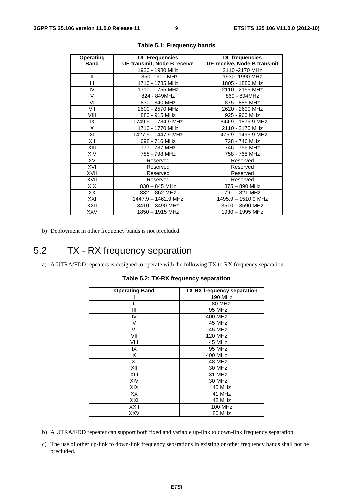| <b>Operating</b> | <b>UL Frequencies</b>       | <b>DL</b> frequencies       |
|------------------|-----------------------------|-----------------------------|
| <b>Band</b>      | UE transmit, Node B receive | UE receive, Node B transmit |
|                  | 1920 - 1980 MHz             | 2110 - 2170 MHz             |
| $\mathbf{I}$     | 1850 -1910 MHz              | 1930 -1990 MHz              |
| Ш                | 1710 - 1785 MHz             | 1805 - 1880 MHz             |
| IV               | 1710 - 1755 MHz             | 2110 - 2155 MHz             |
| $\vee$           | 824 - 849MHz                | 869 - 894MHz                |
| VI               | 830 - 840 MHz               | 875 - 885 MHz               |
| VII              | 2500 - 2570 MHz             | 2620 - 2690 MHz             |
| VIII             | 880 - 915 MHz               | 925 - 960 MHz               |
| IX               | 1749.9 - 1784.9 MHz         | 1844.9 - 1879.9 MHz         |
| X                | 1710 - 1770 MHz             | 2110 - 2170 MHz             |
| XI               | 1427.9 - 1447.9 MHz         | 1475.9 - 1495.9 MHz         |
| XII              | 698 - 716 MHz               | 728 - 746 MHz               |
| XIII             | 777 - 787 MHz               | 746 - 756 MHz               |
| XIV              | 788 - 798 MHz               | 758 - 768 MHz               |
| XV               | Reserved                    | Reserved                    |
| XVI              | Reserved                    | Reserved                    |
| XVII             | Reserved                    | Reserved                    |
| XVII             | Reserved                    | Reserved                    |
| XIX              | $830 - 845$ MHz             | 875 - 890 MHz               |
| XX               | 832 - 862 MHz               | 791 - 821 MHz               |
| XXI              | 1447.9 - 1462.9 MHz         | 1495.9 - 1510.9 MHz         |
| XXII             | 3410 - 3490 MHz             | $3510 - 3590$ MHz           |
| <b>XXV</b>       | 1850 - 1915 MHz             | 1930 - 1995 MHz             |

|  | Table 5.1: Frequency bands |  |  |
|--|----------------------------|--|--|
|--|----------------------------|--|--|

b) Deployment in other frequency bands is not precluded.

# 5.2 TX - RX frequency separation

a) A UTRA/FDD repeaters is designed to operate with the following TX to RX frequency separation

| <b>Operating Band</b> | <b>TX-RX frequency separation</b> |
|-----------------------|-----------------------------------|
|                       | 190 MHz                           |
| н                     | 80 MHz.                           |
| Ш                     | 95 MHz                            |
| IV                    | 400 MHz                           |
| V                     | 45 MHz                            |
| VI                    | 45 MHz                            |
| VII                   | <b>120 MHz</b>                    |
| VIII                  | 45 MHz                            |
| IX                    | 95 MHz                            |
| X                     | 400 MHz                           |
| ΧI                    | 48 MHz                            |
| XII                   | 30 MHz                            |
| XIII                  | 31 MHz                            |
| XIV                   | 30 MHz                            |
| XIX                   | 45 MHz                            |
| XX                    | 41 MHz                            |
| XXI                   | 48 MHz                            |
| XXII                  | <b>100 MHz</b>                    |
| XXV                   | 80 MHz                            |

**Table 5.2: TX-RX frequency separation** 

- b) A UTRA/FDD repeater can support both fixed and variable up-link to down-link frequency separation.
- c) The use of other up-link to down-link frequency separations in existing or other frequency bands shall not be precluded.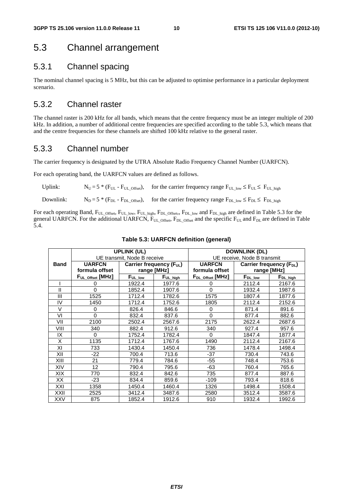# 5.3 Channel arrangement

## 5.3.1 Channel spacing

The nominal channel spacing is 5 MHz, but this can be adjusted to optimise performance in a particular deployment scenario.

## 5.3.2 Channel raster

The channel raster is 200 kHz for all bands, which means that the centre frequency must be an integer multiple of 200 kHz. In addition, a number of additional centre frequencies are specified according to the table 5.3, which means that and the centre frequencies for these channels are shifted 100 kHz relative to the general raster.

#### 5.3.3 Channel number

The carrier frequency is designated by the UTRA Absolute Radio Frequency Channel Number (UARFCN).

For each operating band, the UARFCN values are defined as follows.

| Uplink:   | $N_U = 5 * (F_{UL} - F_{UL}$ offset), for the carrier frequency range $F_{UL}$ low $\leq F_{UL} \leq F_{UL}$ high |
|-----------|-------------------------------------------------------------------------------------------------------------------|
| Downlink: | $N_D = 5 * (F_{DL} - F_{DL\_offset})$ , for the carrier frequency range $F_{DL\_low} \le F_{DL} \le F_{DL\_high}$ |

For each operating Band,  $F_{UL\_Offset}$ ,  $F_{UL\_low}$ ,  $F_{UL\_high}$ ,  $F_{DL\_Offset}$ ,  $F_{DL\_low}$  and  $F_{DL\_high}$  are defined in Table 5.3 for the general UARFCN. For the additional UARFCN,  $\bar{F}_{UL}$  offset,  $F_{DL}$  offset and the specific  $F_{UL}$  and  $F_{DL}$  are defined in Table 5.4.

|             |                             | <b>UPLINK (UL)</b>  |                                      |                              | <b>DOWNLINK (DL)</b> |                                      |
|-------------|-----------------------------|---------------------|--------------------------------------|------------------------------|----------------------|--------------------------------------|
|             | UE transmit, Node B receive |                     | UE receive, Node B transmit          |                              |                      |                                      |
| <b>Band</b> | <b>UARFCN</b>               |                     | Carrier frequency (F <sub>UL</sub> ) | <b>UARFCN</b>                |                      | Carrier frequency (F <sub>DL</sub> ) |
|             | formula offset              |                     | range [MHz]                          | formula offset               |                      | range [MHz]                          |
|             | FUL_Offset [MHz]            | F <sub>UL_low</sub> | $F_{UL\_high}$                       | F <sub>DL_Offset</sub> [MHz] | F <sub>DL_Iow</sub>  | $F_{DL\_high}$                       |
|             | 0                           | 1922.4              | 1977.6                               | 0                            | 2112.4               | 2167.6                               |
| Ш           | $\Omega$                    | 1852.4              | 1907.6                               | $\Omega$                     | 1932.4               | 1987.6                               |
| III         | 1525                        | 1712.4              | 1782.6                               | 1575                         | 1807.4               | 1877.6                               |
| IV          | 1450                        | 1712.4              | 1752.6                               | 1805                         | 2112.4               | 2152.6                               |
| V           | $\Omega$                    | 826.4               | 846.6                                | $\Omega$                     | 871.4                | 891.6                                |
| VI          | $\Omega$                    | 832.4               | 837.6                                | $\Omega$                     | 877.4                | 882.6                                |
| VII         | 2100                        | 2502.4              | 2567.6                               | 2175                         | 2622.4               | 2687.6                               |
| VIII        | 340                         | 882.4               | 912.6                                | 340                          | 927.4                | 957.6                                |
| IX          | 0                           | 1752.4              | 1782.4                               | 0                            | 1847.4               | 1877.4                               |
| X           | 1135                        | 1712.4              | 1767.6                               | 1490                         | 2112.4               | 2167.6                               |
| XI          | 733                         | 1430.4              | 1450.4                               | 736                          | 1478.4               | 1498.4                               |
| XII         | $-22$                       | 700.4               | 713.6                                | $-37$                        | 730.4                | 743.6                                |
| XIII        | 21                          | 779.4               | 784.6                                | $-55$                        | 748.4                | 753.6                                |
| XIV         | 12                          | 790.4               | 795.6                                | -63                          | 760.4                | 765.6                                |
| XIX         | 770                         | 832.4               | 842.6                                | 735                          | 877.4                | 887.6                                |
| XX          | $-23$                       | 834.4               | 859.6                                | $-109$                       | 793.4                | 818.6                                |
| XXI         | 1358                        | 1450.4              | 1460.4                               | 1326                         | 1498.4               | 1508.4                               |
| XXII        | 2525                        | 3412.4              | 3487.6                               | 2580                         | 3512.4               | 3587.6                               |
| XXV         | 875                         | 1852.4              | 1912.6                               | 910                          | 1932.4               | 1992.6                               |

#### **Table 5.3: UARFCN definition (general)**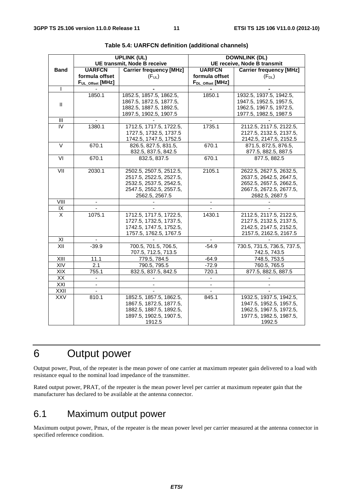|                   |                                    | <b>UPLINK (UL)</b>             |                              | <b>DOWNLINK (DL)</b>           |
|-------------------|------------------------------------|--------------------------------|------------------------------|--------------------------------|
|                   | <b>UE transmit, Node B receive</b> |                                | UE receive, Node B transmit  |                                |
| <b>Band</b>       | <b>UARFCN</b>                      | <b>Carrier frequency [MHz]</b> | <b>UARFCN</b>                | <b>Carrier frequency [MHz]</b> |
|                   | formula offset                     | (F <sub>UL</sub> )             | formula offset               | $(F_{DL})$                     |
|                   | FUL_Offset [MHz]                   |                                | F <sub>DL_Offset</sub> [MHz] |                                |
|                   |                                    |                                |                              |                                |
|                   | 1850.1                             | 1852.5, 1857.5, 1862.5,        | 1850.1                       | 1932.5, 1937.5, 1942.5,        |
| Ш                 |                                    | 1867.5, 1872.5, 1877.5,        |                              | 1947.5, 1952.5, 1957.5,        |
|                   |                                    | 1882.5, 1887.5, 1892.5,        |                              | 1962.5, 1967.5, 1972.5,        |
|                   |                                    | 1897.5, 1902.5, 1907.5         |                              | 1977.5, 1982.5, 1987.5         |
| Ш                 |                                    |                                |                              |                                |
| IV                | 1380.1                             | 1712.5, 1717.5, 1722.5,        | 1735.1                       | 2112.5, 2117.5, 2122.5,        |
|                   |                                    | 1727.5, 1732.5, 1737.5         |                              | 2127.5, 2132.5, 2137.5,        |
|                   |                                    | 1742.5, 1747.5, 1752.5         |                              | 2142.5, 2147.5, 2152.5         |
| $\overline{\vee}$ | 670.1                              | 826.5, 827.5, 831.5,           | 670.1                        | 871.5, 872.5, 876.5,           |
|                   |                                    | 832.5, 837.5, 842.5            |                              | 877.5, 882.5, 887.5            |
| VI                | 670.1                              | 832.5, 837.5                   | 670.1                        | 877.5, 882.5                   |
|                   |                                    |                                |                              |                                |
|                   | 2030.1                             | 2502.5, 2507.5, 2512.5,        | 2105.1                       | 2622.5, 2627.5, 2632.5,        |
|                   |                                    | 2517.5, 2522.5, 2527.5,        |                              | 2637.5, 2642.5, 2647.5,        |
|                   |                                    | 2532.5, 2537.5, 2542.5,        |                              | 2652.5, 2657.5, 2662.5,        |
|                   |                                    | 2547.5, 2552.5, 2557.5,        |                              | 2667.5, 2672.5, 2677.5,        |
|                   |                                    | 2562.5, 2567.5                 |                              | 2682.5, 2687.5                 |
| VIII              |                                    |                                |                              |                                |
| IX                |                                    |                                |                              |                                |
| X                 | 1075.1                             | 1712.5, 1717.5, 1722.5,        | 1430.1                       | 2112.5, 2117.5, 2122.5,        |
|                   |                                    | 1727.5, 1732.5, 1737.5,        |                              | 2127.5, 2132.5, 2137.5,        |
|                   |                                    | 1742.5, 1747.5, 1752.5,        |                              | 2142.5, 2147.5, 2152.5,        |
|                   |                                    | 1757.5, 1762.5, 1767.5         |                              | 2157.5, 2162.5, 2167.5         |
| XI                |                                    |                                |                              |                                |
| XII               | $-39.9$                            | 700.5, 701.5, 706.5,           | $-54.9$                      | 730.5, 731.5, 736.5, 737.5,    |
|                   |                                    | 707.5, 712.5, 713.5            |                              | 742.5, 743.5                   |
| XIII              | 11.1                               | 779.5, 784.5                   | $-64.9$                      | 748.5, 753.5                   |
| XIV               | 2.1                                | 790.5, 795.5                   | $-72.9$                      | 760.5, 765.5                   |
| XIX               | 755.1                              | 832.5, 837.5, 842.5            | 720.1                        | 877.5, 882.5, 887.5            |
| XX                |                                    |                                |                              |                                |
| XXI               | ä,                                 |                                | ÷,                           |                                |
| XXII              | $\overline{\phantom{a}}$           |                                |                              |                                |
| <b>XXV</b>        | 810.1                              | 1852.5, 1857.5, 1862.5,        | 845.1                        | 1932.5, 1937.5, 1942.5,        |
|                   |                                    | 1867.5, 1872.5, 1877.5,        |                              | 1947.5, 1952.5, 1957.5,        |
|                   |                                    | 1882.5, 1887.5, 1892.5,        |                              | 1962.5, 1967.5, 1972.5,        |
|                   |                                    | 1897.5, 1902.5, 1907.5,        |                              | 1977.5, 1982.5, 1987.5,        |
|                   |                                    | 1912.5                         |                              | 1992.5                         |

| Table 5.4: UARFCN definition (additional channels) |  |
|----------------------------------------------------|--|
|----------------------------------------------------|--|

# 6 Output power

Output power, Pout, of the repeater is the mean power of one carrier at maximum repeater gain delivered to a load with resistance equal to the nominal load impedance of the transmitter.

Rated output power, PRAT, of the repeater is the mean power level per carrier at maximum repeater gain that the manufacturer has declared to be available at the antenna connector.

# 6.1 Maximum output power

Maximum output power, Pmax, of the repeater is the mean power level per carrier measured at the antenna connector in specified reference condition.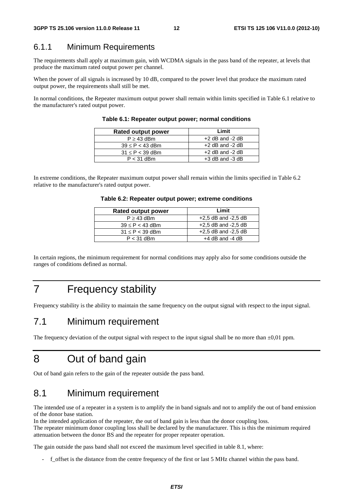#### 6.1.1 Minimum Requirements

The requirements shall apply at maximum gain, with WCDMA signals in the pass band of the repeater, at levels that produce the maximum rated output power per channel.

When the power of all signals is increased by 10 dB, compared to the power level that produce the maximum rated output power, the requirements shall still be met.

In normal conditions, the Repeater maximum output power shall remain within limits specified in Table 6.1 relative to the manufacturer's rated output power.

| <b>Rated output power</b> | Limit               |
|---------------------------|---------------------|
| $P \geq 43$ dBm           | $+2$ dB and $-2$ dB |
| $39 \leq P < 43$ dBm      | $+2$ dB and $-2$ dB |
| $31 \leq P < 39$ dBm      | $+2$ dB and $-2$ dB |
| $P < 31$ dBm              | $+3$ dB and $-3$ dB |

**Table 6.1: Repeater output power; normal conditions** 

In extreme conditions, the Repeater maximum output power shall remain within the limits specified in Table 6.2 relative to the manufacturer's rated output power.

#### **Table 6.2: Repeater output power; extreme conditions**

| <b>Rated output power</b> | Limit                   |
|---------------------------|-------------------------|
| $P \geq 43$ dBm           | $+2,5$ dB and $-2,5$ dB |
| $39 \leq P < 43$ dBm      | $+2.5$ dB and $-2.5$ dB |
| $31 \leq P < 39$ dBm      | $+2.5$ dB and $-2.5$ dB |
| $P < 31$ dBm              | $+4$ dB and $-4$ dB     |

In certain regions, the minimum requirement for normal conditions may apply also for some conditions outside the ranges of conditions defined as normal.

# 7 Frequency stability

Frequency stability is the ability to maintain the same frequency on the output signal with respect to the input signal.

## 7.1 Minimum requirement

The frequency deviation of the output signal with respect to the input signal shall be no more than  $\pm 0.01$  ppm.

# 8 Out of band gain

Out of band gain refers to the gain of the repeater outside the pass band.

## 8.1 Minimum requirement

The intended use of a repeater in a system is to amplify the in band signals and not to amplify the out of band emission of the donor base station.

In the intended application of the repeater, the out of band gain is less than the donor coupling loss.

The repeater minimum donor coupling loss shall be declared by the manufacturer. This is this the minimum required attenuation between the donor BS and the repeater for proper repeater operation.

The gain outside the pass band shall not exceed the maximum level specified in table 8.1, where:

- f\_offset is the distance from the centre frequency of the first or last 5 MHz channel within the pass band.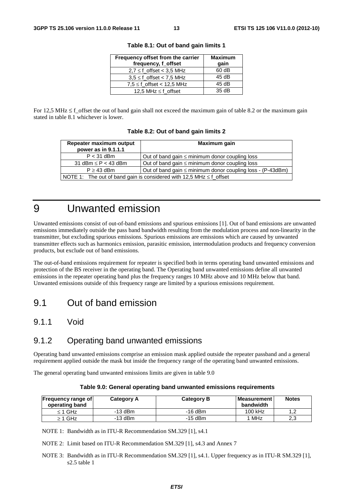| Frequency offset from the carrier<br>frequency, f_offset | <b>Maximum</b><br>gain |
|----------------------------------------------------------|------------------------|
| $2.7 \le f$ offset < 3.5 MHz                             | 60 dB                  |
| $3.5 \leq f$ offset < 7.5 MHz                            | 45dB                   |
| $7.5 \leq f$ offset < 12.5 MHz                           | 45 dB                  |
| 12,5 MHz $\leq$ f offset                                 | 35dB                   |

**Table 8.1: Out of band gain limits 1** 

For 12,5 MHz  $\leq$  f\_offset the out of band gain shall not exceed the maximum gain of table 8.2 or the maximum gain stated in table 8.1 whichever is lower.

|  |  |  |  |  |  | Table 8.2: Out of band gain limits 2 |  |
|--|--|--|--|--|--|--------------------------------------|--|
|--|--|--|--|--|--|--------------------------------------|--|

| Repeater maximum output                                                            | Maximum gain                                        |  |  |
|------------------------------------------------------------------------------------|-----------------------------------------------------|--|--|
| power as in 9.1.1.1                                                                |                                                     |  |  |
| $P < 31$ dBm                                                                       | Out of band gain $\leq$ minimum donor coupling loss |  |  |
| 31 dBm $\leq$ P $<$ 43 dBm                                                         | Out of band gain $\leq$ minimum donor coupling loss |  |  |
| Out of band gain $\leq$ minimum donor coupling loss - (P-43dBm)<br>$P \geq 43$ dBm |                                                     |  |  |
| NOTE 1: The out of band gain is considered with 12,5 MHz $\leq$ f offset           |                                                     |  |  |

# 9 Unwanted emission

Unwanted emissions consist of out-of-band emissions and spurious emissions [1]. Out of band emissions are unwanted emissions immediately outside the pass band bandwidth resulting from the modulation process and non-linearity in the transmitter, but excluding spurious emissions. Spurious emissions are emissions which are caused by unwanted transmitter effects such as harmonics emission, parasitic emission, intermodulation products and frequency conversion products, but exclude out of band emissions.

The out-of-band emissions requirement for repeater is specified both in terms operating band unwanted emissions and protection of the BS receiver in the operating band. The Operating band unwanted emissions define all unwanted emissions in the repeater operating band plus the frequency ranges 10 MHz above and 10 MHz below that band. Unwanted emissions outside of this frequency range are limited by a spurious emissions requirement.

## 9.1 Out of band emission

## 9.1.1 Void

## 9.1.2 Operating band unwanted emissions

Operating band unwanted emissions comprise an emission mask applied outside the repeater passband and a general requirement applied outside the mask but inside the frequency range of the operating band unwanted emissions.

The general operating band unwanted emissions limits are given in table 9.0

| Table 9.0: General operating band unwanted emissions requirements |  |
|-------------------------------------------------------------------|--|
|-------------------------------------------------------------------|--|

| Frequency range of<br>operating band | <b>Category A</b> | <b>Category B</b> | ⊪Measurement I<br>bandwidth | <b>Notes</b>                     |
|--------------------------------------|-------------------|-------------------|-----------------------------|----------------------------------|
| $\leq$ 1 GHz                         | -13 dBm           | $-16$ dBm         | 100 kHz                     | $\overline{\phantom{a}}$<br>ے. ا |
| $\geq$ 1 GHz                         | $-13$ dBm         | $-15$ dBm         | 1 MHz                       | 2,3                              |

NOTE 1: Bandwidth as in ITU-R Recommendation SM.329 [1], s4.1

NOTE 2: Limit based on ITU-R Recommendation SM.329 [1], s4.3 and Annex 7

NOTE 3: Bandwidth as in ITU-R Recommendation SM.329 [1], s4.1. Upper frequency as in ITU-R SM.329 [1], s2.5 table 1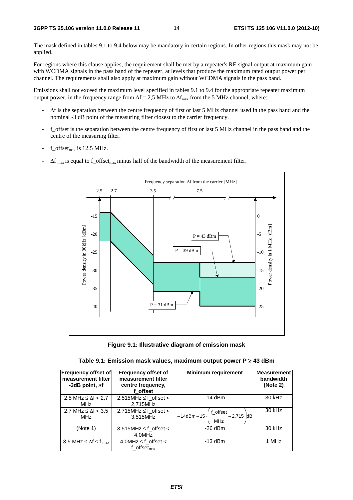The mask defined in tables 9.1 to 9.4 below may be mandatory in certain regions. In other regions this mask may not be applied.

For regions where this clause applies, the requirement shall be met by a repeater's RF-signal output at maximum gain with WCDMA signals in the pass band of the repeater, at levels that produce the maximum rated output power per channel. The requirements shall also apply at maximum gain without WCDMA signals in the pass band.

Emissions shall not exceed the maximum level specified in tables 9.1 to 9.4 for the appropriate repeater maximum output power, in the frequency range from  $\Delta f = 2.5$  MHz to  $\Delta f_{\text{max}}$  from the 5 MHz channel, where:

- Δf is the separation between the centre frequency of first or last 5 MHz channel used in the pass band and the nominal -3 dB point of the measuring filter closest to the carrier frequency.
- f\_offset is the separation between the centre frequency of first or last 5 MHz channel in the pass band and the centre of the measuring filter.
- f offset $_{\text{max}}$  is 12.5 MHz.
- $\Delta f_{\text{max}}$  is equal to f\_offset<sub>max</sub> minus half of the bandwidth of the measurement filter.



**Figure 9.1: Illustrative diagram of emission mask** 

| Table 9.1: Emission mask values, maximum output power P ≥ 43 dBm |  |  |
|------------------------------------------------------------------|--|--|
|------------------------------------------------------------------|--|--|

| <b>Frequency offset of</b><br>measurement filter<br>-3dB point, $\Delta f$ | <b>Frequency offset of</b><br>measurement filter<br>centre frequency,<br>f offset | <b>Minimum requirement</b>                                                                           | <b>Measurement</b><br>bandwidth<br>(Note 2) |
|----------------------------------------------------------------------------|-----------------------------------------------------------------------------------|------------------------------------------------------------------------------------------------------|---------------------------------------------|
| 2,5 MHz $\leq \Delta f$ < 2,7<br><b>MHz</b>                                | 2,515MHz $\leq$ f_offset $\lt$<br>2,715MHz                                        | $-14$ dBm                                                                                            | 30 kHz                                      |
| 2,7 MHz $\leq \Delta f$ < 3,5<br>MHz                                       | $2,715$ MHz $\leq$ f_offset <<br>3,515MHz                                         | $1 - 14$ dBm $- 15 \cdot \left( \frac{\text{f\_offset}}{\text{MHz}} - 2.715 \right)$ dB <sup>1</sup> | 30 kHz                                      |
| (Note 1)                                                                   | $3,515$ MHz $\leq$ f_offset <<br>4.0MHz                                           | $-26$ dBm                                                                                            | 30 kHz                                      |
| 3.5 MHz $\leq \Delta f \leq f_{\text{max}}$                                | 4,0MHz $\leq$ f offset $<$<br>f offset $_{\text{max}}$                            | $-13$ dBm                                                                                            | 1 MHz                                       |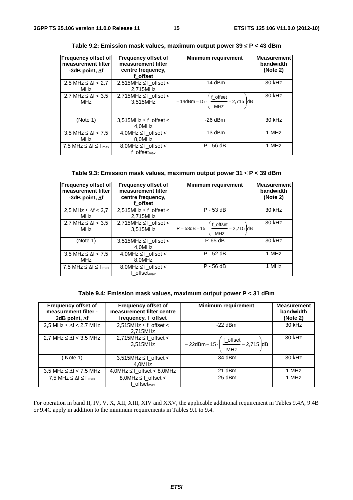| <b>Frequency offset of</b><br>measurement filter<br>-3dB point, $\Delta f$ | <b>Frequency offset of</b><br>measurement filter<br>centre frequency,<br>f offset | <b>Minimum requirement</b>                                                    | <b>Measurement</b><br>bandwidth<br>(Note 2) |
|----------------------------------------------------------------------------|-----------------------------------------------------------------------------------|-------------------------------------------------------------------------------|---------------------------------------------|
| 2.5 MHz $\leq \Delta f$ < 2.7<br><b>MHz</b>                                | 2,515MHz $\leq$ f offset $\lt$<br>2.715MHz                                        | $-14$ dBm                                                                     | 30 kHz                                      |
| 2.7 MHz $\leq \Delta f$ < 3.5<br><b>MHz</b>                                | 2,715MHz $\leq$ f offset $\lt$<br>3,515MHz                                        | $-14$ dBm $-15 \cdot \left( \frac{f_{\text{offset}}}{MHz} - 2.715 \right)$ dB | 30 kHz                                      |
| (Note 1)                                                                   | $3,515$ MHz $\leq$ f_offset <<br>4.0MHz                                           | $-26$ dBm                                                                     | 30 kHz                                      |
| 3.5 MHz $\leq \Delta f$ < 7.5<br><b>MHz</b>                                | $4,0$ MHz $\leq$ f_offset <<br>8,0MHz                                             | $-13$ dBm                                                                     | 1 MHz                                       |
| 7,5 MHz $\leq \Delta f \leq f_{\text{max}}$                                | 8,0MHz $\leq$ f offset $<$<br>$f_{\text{of}}$ fset <sub>max</sub>                 | $P - 56$ dB                                                                   | 1 MHz                                       |

**Table 9.2: Emission mask values, maximum output power 39** ≤ **P < 43 dBm** 

| <b>Frequency offset of</b><br>measurement filter<br>-3dB point, $\Delta f$ | <b>Frequency offset of</b><br>measurement filter<br>centre frequency,<br>f offset | <b>Minimum requirement</b>                                                    | <b>Measurement</b><br>bandwidth<br>(Note 2) |
|----------------------------------------------------------------------------|-----------------------------------------------------------------------------------|-------------------------------------------------------------------------------|---------------------------------------------|
| 2,5 MHz $\leq \Delta f$ < 2,7<br><b>MHz</b>                                | 2,515MHz $\leq$ f offset $\lt$<br>2.715MHz                                        | $P - 53$ dB                                                                   | 30 kHz                                      |
| 2.7 MHz $\leq \Delta f$ < 3.5<br><b>MHz</b>                                | 2,715MHz $\leq$ f_offset $\lt$<br>3.515MHz                                        | $P - 53dB - 15 \cdot \left( \frac{f_{\text{offset}}}{MHz} - 2,715 \right) dB$ | 30 kHz                                      |
| (Note 1)                                                                   | $3,515$ MHz $\leq$ f_offset <<br>4,0MHz                                           | $P-65$ dB                                                                     | 30 kHz                                      |
| 3,5 MHz $\leq \Delta f$ < 7,5<br>MHz                                       | 4,0MHz $\leq$ f offset $<$<br>8,0MHz                                              | $P - 52$ dB                                                                   | 1 MHz                                       |
| 7,5 MHz $\leq \Delta f \leq f_{max}$                                       | 8,0MHz $\leq$ f offset $<$<br>f offset $_{\text{max}}$                            | $P - 56$ dB                                                                   | 1 MHz                                       |

**Table 9.4: Emission mask values, maximum output power P < 31 dBm** 

| <b>Frequency offset of</b><br>measurement filter -<br>3dB point, $\Delta f$ | <b>Frequency offset of</b><br>measurement filter centre<br>frequency, f_offset | <b>Minimum requirement</b>                                                              | <b>Measurement</b><br>bandwidth<br>(Note 2) |
|-----------------------------------------------------------------------------|--------------------------------------------------------------------------------|-----------------------------------------------------------------------------------------|---------------------------------------------|
| 2,5 MHz $\leq \Delta f$ < 2,7 MHz                                           | 2,515MHz $\leq$ f_offset $\lt$<br>2,715MHz                                     | $-22$ dBm                                                                               | $30$ kHz                                    |
| 2.7 MHz $\leq \Delta f$ < 3.5 MHz                                           | 2,715MHz $\leq$ f offset $<$<br>3,515MHz                                       | $\frac{f_{\text{offset}}}{f_{\text{offset}}}-2,715$ dB<br>$-22$ dBm $-15$<br><b>MHz</b> | 30 kHz                                      |
| Note 1)                                                                     | $3,515$ MHz $\leq$ f offset $\lt$<br>4,0MHz                                    | $-34$ dBm                                                                               | 30 kHz                                      |
| 3.5 MHz $\leq \Delta f$ < 7.5 MHz                                           | $4,0$ MHz $\leq$ f offset < 8,0MHz                                             | $-21$ dBm                                                                               | 1 MHz                                       |
| 7,5 MHz $\leq \Delta f \leq f_{\text{max}}$                                 | 8,0MHz $\leq$ f offset $<$<br>f offset $_{\text{max}}$                         | $-25$ dBm                                                                               | 1 MHz                                       |

For operation in band II, IV, V, X, XII, XIII, XIV and XXV, the applicable additional requirement in Tables 9.4A, 9.4B or 9.4C apply in addition to the minimum requirements in Tables 9.1 to 9.4.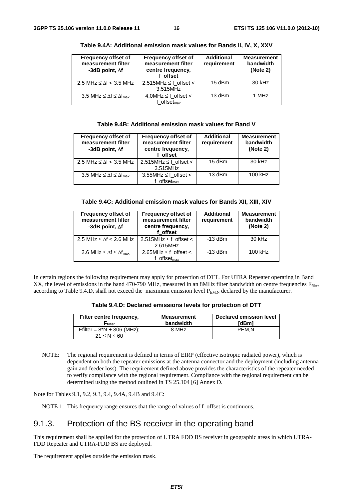| <b>Frequency offset of</b><br>measurement filter<br>-3dB point, $\Delta f$ | <b>Frequency offset of</b><br>measurement filter<br>centre frequency,<br>f offset | <b>Additional</b><br>requirement | <b>Measurement</b><br>bandwidth<br>(Note 2) |
|----------------------------------------------------------------------------|-----------------------------------------------------------------------------------|----------------------------------|---------------------------------------------|
| 2.5 MHz $\leq \Delta f$ < 3.5 MHz                                          | $2.515$ MHz $\leq$ f_offset $\lt$<br>3.515MHz                                     | $-15$ dBm                        | $30$ kHz                                    |
| 3.5 MHz $\leq \Delta f \leq \Delta f_{\text{max}}$                         | $4.0$ MHz $\leq$ f_offset <<br>f offse $t_{\rm max}$                              | $-13$ dBm                        | 1 MHz                                       |

**Table 9.4A: Additional emission mask values for Bands II, IV, X, XXV** 

#### **Table 9.4B: Additional emission mask values for Band V**

| <b>Frequency offset of</b><br>measurement filter<br>-3dB point, $\Delta f$ | <b>Frequency offset of</b><br>measurement filter<br>centre frequency,<br>f offset | <b>Additional</b><br>requirement | <b>Measurement</b><br>bandwidth<br>(Note 2) |
|----------------------------------------------------------------------------|-----------------------------------------------------------------------------------|----------------------------------|---------------------------------------------|
| 2.5 MHz $\leq \Delta f$ < 3.5 MHz                                          | $2.515$ MHz $\leq$ f_offset $\lt$<br>3.515MHz                                     | $-15$ dBm                        | 30 kHz                                      |
| 3.5 MHz $\leq \Delta f \leq \Delta f_{\text{max}}$                         | 3.55MHz $\leq$ f offset $\lt$<br>$f$ offset <sub>max</sub>                        | $-13$ dBm                        | 100 kHz                                     |

| Table 9.4C: Additional emission mask values for Bands XII, XIII, XIV |  |  |  |  |  |  |  |  |  |
|----------------------------------------------------------------------|--|--|--|--|--|--|--|--|--|
|----------------------------------------------------------------------|--|--|--|--|--|--|--|--|--|

| <b>Frequency offset of</b><br>measurement filter<br>-3dB point, $\Delta f$ | <b>Frequency offset of</b><br>measurement filter<br>centre frequency,<br>f offset | <b>Additional</b><br>requirement | <b>Measurement</b><br>bandwidth<br>(Note 2) |
|----------------------------------------------------------------------------|-----------------------------------------------------------------------------------|----------------------------------|---------------------------------------------|
| 2.5 MHz $\leq \Delta f$ < 2.6 MHz                                          | $2.515$ MHz $\leq$ f_offset $\lt$<br>2.615MHz                                     | $-13$ dBm                        | 30 kHz                                      |
| 2.6 MHz $\leq \Delta f \leq \Delta f_{\text{max}}$                         | 2.65MHz $\leq$ f offset $\lt$<br>f offset $_{\text{max}}$                         | $-13$ dBm                        | 100 kHz                                     |

In certain regions the following requirement may apply for protection of DTT. For UTRA Repeater operating in Band XX, the level of emissions in the band 470-790 MHz, measured in an 8MHz filter bandwidth on centre frequencies  $F_{filter}$ according to Table 9.4.D, shall not exceed the maximum emission level  $P_{FMM}$  declared by the manufacturer.

| Table 9.4.D: Declared emissions levels for protection of DTT |  |
|--------------------------------------------------------------|--|
|--------------------------------------------------------------|--|

| Filter centre frequency,<br>$\mathsf{r}_{\mathsf{filter}}$ | <b>Measurement</b><br>bandwidth | Declared emission level<br>[dBm] |
|------------------------------------------------------------|---------------------------------|----------------------------------|
| Ffilter = $8*N + 306$ (MHz);<br>$21 \le N \le 60$          | 8 MHz                           | PEM.N                            |
|                                                            |                                 |                                  |

NOTE: The regional requirement is defined in terms of EIRP (effective isotropic radiated power), which is dependent on both the repeater emissions at the antenna connector and the deployment (including antenna gain and feeder loss). The requirement defined above provides the characteristics of the repeater needed to verify compliance with the regional requirement. Compliance with the regional requirement can be determined using the method outlined in TS 25.104 [6] Annex D.

Note for Tables 9.1, 9.2, 9.3, 9.4, 9.4A, 9.4B and 9.4C:

NOTE 1: This frequency range ensures that the range of values of f offset is continuous.

#### 9.1.3. Protection of the BS receiver in the operating band

This requirement shall be applied for the protection of UTRA FDD BS receiver in geographic areas in which UTRA-FDD Repeater and UTRA-FDD BS are deployed.

The requirement applies outside the emission mask.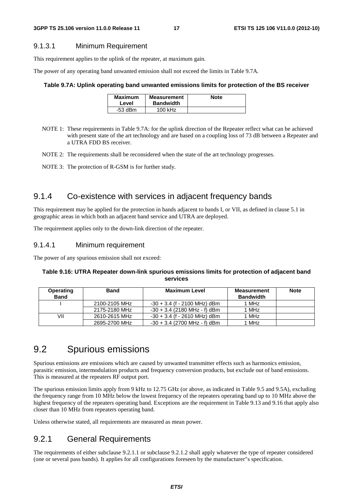#### 9.1.3.1 Minimum Requirement

This requirement applies to the uplink of the repeater, at maximum gain.

The power of any operating band unwanted emission shall not exceed the limits in Table 9.7A.

#### **Table 9.7A: Uplink operating band unwanted emissions limits for protection of the BS receiver**

| <b>Maximum</b><br>Level | Measurement<br><b>Bandwidth</b> | <b>Note</b> |
|-------------------------|---------------------------------|-------------|
| $-53$ dBm               | 100 kHz                         |             |

- NOTE 1: These requirements in Table 9.7A: for the uplink direction of the Repeater reflect what can be achieved with present state of the art technology and are based on a coupling loss of 73 dB between a Repeater and a UTRA FDD BS receiver.
- NOTE 2: The requirements shall be reconsidered when the state of the art technology progresses.
- NOTE 3: The protection of R-GSM is for further study.

## 9.1.4 Co-existence with services in adjacent frequency bands

This requirement may be applied for the protection in bands adjacent to bands I, or VII, as defined in clause 5.1 in geographic areas in which both an adjacent band service and UTRA are deployed.

The requirement applies only to the down-link direction of the repeater.

#### 9.1.4.1 Minimum requirement

The power of any spurious emission shall not exceed:

#### **Table 9.16: UTRA Repeater down-link spurious emissions limits for protection of adjacent band services**

| <b>Operating</b><br><b>Band</b> | Band          | <b>Maximum Level</b>           | <b>Measurement</b><br><b>Bandwidth</b> | <b>Note</b> |
|---------------------------------|---------------|--------------------------------|----------------------------------------|-------------|
|                                 | 2100-2105 MHz | $-30 + 3.4$ (f - 2100 MHz) dBm | 1 MHz                                  |             |
|                                 | 2175-2180 MHz | $-30 + 3.4$ (2180 MHz - f) dBm | 1 MHz                                  |             |
| VII                             | 2610-2615 MHz | $-30 + 3.4$ (f - 2610 MHz) dBm | 1 MHz                                  |             |
|                                 | 2695-2700 MHz | $-30 + 3.4$ (2700 MHz - f) dBm | 1 MHz                                  |             |

# 9.2 Spurious emissions

Spurious emissions are emissions which are caused by unwanted transmitter effects such as harmonics emission, parasitic emission, intermodulation products and frequency conversion products, but exclude out of band emissions. This is measured at the repeaters RF output port.

The spurious emission limits apply from 9 kHz to 12.75 GHz (or above, as indicated in Table 9.5 and 9.5A), excluding the frequency range from 10 MHz below the lowest frequency of the repeaters operating band up to 10 MHz above the highest frequency of the repeaters operating band. Exceptions are the requirement in Table 9.13 and 9.16 that apply also closer than 10 MHz from repeaters operating band.

Unless otherwise stated, all requirements are measured as mean power.

## 9.2.1 General Requirements

The requirements of either subclause 9.2.1.1 or subclause 9.2.1.2 shall apply whatever the type of repeater considered (one or several pass bands). It applies for all configurations foreseen by the manufacturer"s specification.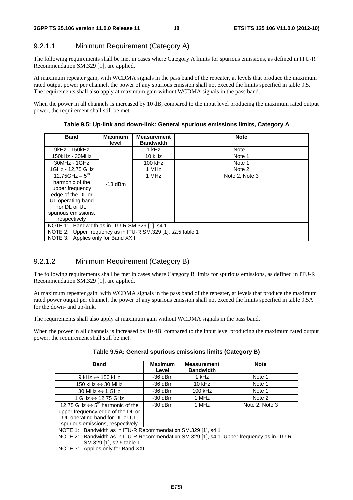## 9.2.1.1 Minimum Requirement (Category A)

The following requirements shall be met in cases where Category A limits for spurious emissions, as defined in ITU-R Recommendation SM.329 [1], are applied.

At maximum repeater gain, with WCDMA signals in the pass band of the repeater, at levels that produce the maximum rated output power per channel, the power of any spurious emission shall not exceed the limits specified in table 9.5. The requirements shall also apply at maximum gain without WCDMA signals in the pass band.

When the power in all channels is increased by 10 dB, compared to the input level producing the maximum rated output power, the requirement shall still be met.

**Table 9.5: Up-link and down-link: General spurious emissions limits, Category A** 

| <b>Band</b>                                                  | <b>Maximum</b><br>level | <b>Measurement</b><br><b>Bandwidth</b> | <b>Note</b>    |  |  |
|--------------------------------------------------------------|-------------------------|----------------------------------------|----------------|--|--|
|                                                              |                         |                                        |                |  |  |
| 9kHz - 150kHz                                                |                         | 1 kHz                                  | Note 1         |  |  |
| 150kHz - 30MHz                                               |                         | $10$ kHz                               | Note 1         |  |  |
| 30MHz - 1GHz                                                 |                         | 100 kHz                                | Note 1         |  |  |
| 1GHz - 12,75 GHz                                             |                         | 1 MHz                                  | Note 2         |  |  |
| 12,75GHz $-5^{\text{th}}$                                    |                         | 1 MHz                                  | Note 2, Note 3 |  |  |
| harmonic of the                                              | $-13$ dBm               |                                        |                |  |  |
| upper frequency                                              |                         |                                        |                |  |  |
| edge of the DL or                                            |                         |                                        |                |  |  |
| UL operating band                                            |                         |                                        |                |  |  |
| for DL or UL                                                 |                         |                                        |                |  |  |
| spurious emissions,                                          |                         |                                        |                |  |  |
| respectively                                                 |                         |                                        |                |  |  |
| NOTE 1: Bandwidth as in ITU-R SM.329 [1], s4.1               |                         |                                        |                |  |  |
| NOTE 2: Upper frequency as in ITU-R SM.329 [1], s2.5 table 1 |                         |                                        |                |  |  |
| NOTE 3: Applies only for Band XXII                           |                         |                                        |                |  |  |

#### 9.2.1.2 Minimum Requirement (Category B)

The following requirements shall be met in cases where Category B limits for spurious emissions, as defined in ITU-R Recommendation SM.329 [1], are applied.

At maximum repeater gain, with WCDMA signals in the pass band of the repeater, at levels that produce the maximum rated power output per channel, the power of any spurious emission shall not exceed the limits specified in table 9.5A for the down- and up-link.

The requirements shall also apply at maximum gain without WCDMA signals in the pass band.

When the power in all channels is increased by 10 dB, compared to the input level producing the maximum rated output power, the requirement shall still be met.

| <b>Band</b>                                                                                | <b>Maximum</b><br>Level | <b>Measurement</b><br><b>Bandwidth</b> | <b>Note</b>    |  |  |
|--------------------------------------------------------------------------------------------|-------------------------|----------------------------------------|----------------|--|--|
| 9 kHz $\leftrightarrow$ 150 kHz                                                            | $-36$ dBm               | 1 kHz                                  | Note 1         |  |  |
| 150 kHz $\leftrightarrow$ 30 MHz                                                           | $-36$ dBm               | $10$ kHz                               | Note 1         |  |  |
| 30 MHz $\leftrightarrow$ 1 GHz                                                             | $-36$ dBm               | 100 kHz                                | Note 1         |  |  |
| 1 GHz $\leftrightarrow$ 12.75 GHz                                                          | $-30$ dBm               | 1 MHz                                  | Note 2         |  |  |
| 12.75 GHz $\leftrightarrow$ 5 <sup>th</sup> harmonic of the                                | $-30$ dBm               | 1 MHz                                  | Note 2. Note 3 |  |  |
| upper frequency edge of the DL or                                                          |                         |                                        |                |  |  |
| UL operating band for DL or UL                                                             |                         |                                        |                |  |  |
| spurious emissions, respectively                                                           |                         |                                        |                |  |  |
| NOTE 1: Bandwidth as in ITU-R Recommendation SM.329 [1], s4.1                              |                         |                                        |                |  |  |
| NOTE 2: Bandwidth as in ITU-R Recommendation SM.329 [1], s4.1. Upper frequency as in ITU-R |                         |                                        |                |  |  |
| SM.329 [1], s2.5 table 1                                                                   |                         |                                        |                |  |  |
| NOTE 3: Applies only for Band XXII                                                         |                         |                                        |                |  |  |

**Table 9.5A: General spurious emissions limits (Category B)**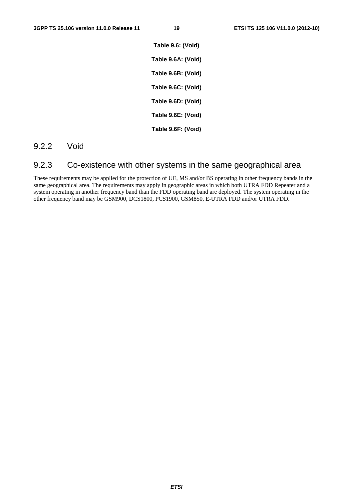**Table 9.6: (Void) Table 9.6A: (Void) Table 9.6B: (Void) Table 9.6C: (Void) Table 9.6D: (Void) Table 9.6E: (Void) Table 9.6F: (Void)** 

#### 9.2.2 Void

## 9.2.3 Co-existence with other systems in the same geographical area

These requirements may be applied for the protection of UE, MS and/or BS operating in other frequency bands in the same geographical area. The requirements may apply in geographic areas in which both UTRA FDD Repeater and a system operating in another frequency band than the FDD operating band are deployed. The system operating in the other frequency band may be GSM900, DCS1800, PCS1900, GSM850, E-UTRA FDD and/or UTRA FDD.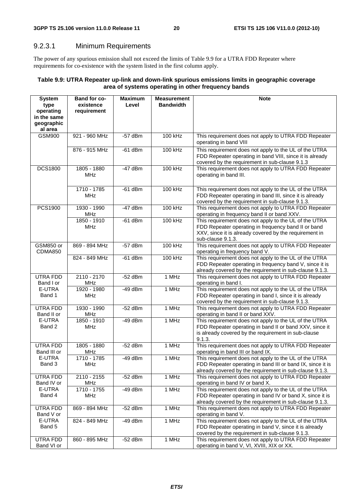#### 9.2.3.1 Minimum Requirements

The power of any spurious emission shall not exceed the limits of Table 9.9 for a UTRA FDD Repeater where requirements for co-existence with the system listed in the first column apply.

#### **Table 9.9: UTRA Repeater up-link and down-link spurious emissions limits in geographic coverage area of systems operating in other frequency bands**

| <b>System</b><br>type        | <b>Band for co-</b><br>existence | <b>Maximum</b><br>Level | <b>Measurement</b><br><b>Bandwidth</b> | <b>Note</b>                                                                                                     |
|------------------------------|----------------------------------|-------------------------|----------------------------------------|-----------------------------------------------------------------------------------------------------------------|
| operating                    | requirement                      |                         |                                        |                                                                                                                 |
| in the same                  |                                  |                         |                                        |                                                                                                                 |
| geographic<br>al area        |                                  |                         |                                        |                                                                                                                 |
| <b>GSM900</b>                | 921 - 960 MHz                    | $-57$ dBm               | 100 kHz                                | This requirement does not apply to UTRA FDD Repeater                                                            |
|                              |                                  |                         |                                        | operating in band VIII                                                                                          |
|                              | 876 - 915 MHz                    | $-61$ dBm               | 100 kHz                                | This requirement does not apply to the UL of the UTRA                                                           |
|                              |                                  |                         |                                        | FDD Repeater operating in band VIII, since it is already                                                        |
| <b>DCS1800</b>               | 1805 - 1880                      | $-47$ dBm               | 100 kHz                                | covered by the requirement in sub-clause 9.1.3                                                                  |
|                              | <b>MHz</b>                       |                         |                                        | This requirement does not apply to UTRA FDD Repeater<br>operating in band III.                                  |
|                              |                                  |                         |                                        |                                                                                                                 |
|                              | 1710 - 1785                      | $-61$ dBm               | 100 kHz                                | This requirement does not apply to the UL of the UTRA                                                           |
|                              | MHz                              |                         |                                        | FDD Repeater operating in band III, since it is already                                                         |
|                              |                                  |                         |                                        | covered by the requirement in sub-clause 9.1.3.                                                                 |
| PCS1900                      | 1930 - 1990<br>MHz               | $-47$ dBm               | 100 kHz                                | This requirement does not apply to UTRA FDD Repeater<br>operating in frequency band II or band XXV.             |
|                              | 1850 - 1910                      | $-61$ dBm               | 100 kHz                                | This requirement does not apply to the UL of the UTRA                                                           |
|                              | <b>MHz</b>                       |                         |                                        | FDD Repeater operating in frequency band II or band                                                             |
|                              |                                  |                         |                                        | XXV, since it is already covered by the requirement in                                                          |
|                              |                                  |                         |                                        | sub-clause 9.1.3.                                                                                               |
| GSM850 or<br>CDMA850         | 869 - 894 MHz                    | $-57$ dBm               | 100 kHz                                | This requirement does not apply to UTRA FDD Repeater<br>operating in frequency band V.                          |
|                              | 824 - 849 MHz                    | $-61$ dBm               | 100 kHz                                | This requirement does not apply to the UL of the UTRA                                                           |
|                              |                                  |                         |                                        | FDD Repeater operating in frequency band V, since it is                                                         |
|                              |                                  |                         |                                        | already covered by the requirement in sub-clause 9.1.3.                                                         |
| <b>UTRA FDD</b><br>Band I or | $2110 - 2170$<br>MHz             | $-52$ dBm               | 1 MHz                                  | This requirement does not apply to UTRA FDD Repeater<br>operating in band I.                                    |
| E-UTRA                       | 1920 - 1980                      | $-49$ dBm               | 1 MHz                                  | This requirement does not apply to the UL of the UTRA                                                           |
| Band 1                       | <b>MHz</b>                       |                         |                                        | FDD Repeater operating in band I, since it is already                                                           |
| <b>UTRA FDD</b>              | 1930 - 1990                      | $-52$ dBm               | 1 MHz                                  | covered by the requirement in sub-clause 9.1.3.<br>This requirement does not apply to UTRA FDD Repeater         |
| Band II or                   | <b>MHz</b>                       |                         |                                        | operating in band II or band XXV.                                                                               |
| E-UTRA                       | 1850 - 1910                      | $-49$ dBm               | 1 MHz                                  | This requirement does not apply to the UL of the UTRA                                                           |
| Band 2                       | <b>MHz</b>                       |                         |                                        | FDD Repeater operating in band II or band XXV, since it                                                         |
|                              |                                  |                         |                                        | is already covered by the requirement in sub-clause<br>9.1.3.                                                   |
| <b>UTRA FDD</b>              | 1805 - 1880                      | $-52$ dBm               | 1 MHz                                  | This requirement does not apply to UTRA FDD Repeater                                                            |
| Band III or                  | MHz                              |                         |                                        | operating in band III or band IX.                                                                               |
| E-UTRA                       | 1710 - 1785                      | $-49$ dBm               | 1 MHz                                  | This requirement does not apply to the UL of the UTRA                                                           |
| Band 3                       | MHz                              |                         |                                        | FDD Repeater operating in band III or band IX, since it is                                                      |
| UTRA FDD                     | 2110 - 2155                      | $-52$ dBm               | 1 MHz                                  | already covered by the requirement in sub-clause 9.1.3.<br>This requirement does not apply to UTRA FDD Repeater |
| Band IV or                   | MHz                              |                         |                                        | operating in band IV or band X.                                                                                 |
| E-UTRA                       | 1710 - 1755                      | -49 dBm                 | 1 MHz                                  | This requirement does not apply to the UL of the UTRA                                                           |
| Band 4                       | MHz                              |                         |                                        | FDD Repeater operating in band IV or band X, since it is                                                        |
| UTRA FDD                     | 869 - 894 MHz                    | $-52$ dBm               | 1 MHz                                  | already covered by the requirement in sub-clause 9.1.3.<br>This requirement does not apply to UTRA FDD Repeater |
| Band V or                    |                                  |                         |                                        | operating in band V.                                                                                            |
| E-UTRA                       | 824 - 849 MHz                    | $-49$ dBm               | 1 MHz                                  | This requirement does not apply to the UL of the UTRA                                                           |
| Band 5                       |                                  |                         |                                        | FDD Repeater operating in band V, since it is already                                                           |
|                              |                                  |                         | 1 MHz                                  | covered by the requirement in sub-clause 9.1.3.                                                                 |
| UTRA FDD<br>Band VI or       | 860 - 895 MHz                    | $-52$ dBm               |                                        | This requirement does not apply to UTRA FDD Repeater<br>operating in band V, VI, XVIII, XIX or XX.              |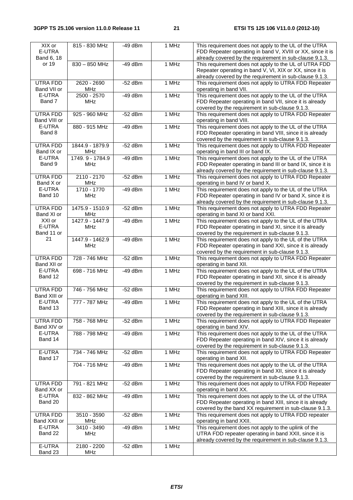| $\overline{XIX}$ or<br>E-UTRA<br>Band 6, 18 | 815 - 830 MHz                 | $-49$ dBm | 1 MHz | This requirement does not apply to the UL of the UTRA<br>FDD Repeater operating in band V, XVIII or XX, since it is<br>already covered by the requirement in sub-clause 9.1.3. |
|---------------------------------------------|-------------------------------|-----------|-------|--------------------------------------------------------------------------------------------------------------------------------------------------------------------------------|
| or 19                                       | 830 - 850 MHz                 | $-49$ dBm | 1 MHz | This requirement does not apply to the UL of UTRA FDD<br>Repeater operating in band V, VI, XIX or XX, since it is<br>already covered by the requirement in sub-clause 9.1.3.   |
| UTRA FDD<br>Band VII or                     | 2620 - 2690<br><b>MHz</b>     | $-52$ dBm | 1 MHz | This requirement does not apply to UTRA FDD Repeater<br>operating in band VII.                                                                                                 |
| E-UTRA<br>Band 7                            | 2500 - 2570<br>MHz            | $-49$ dBm | 1 MHz | This requirement does not apply to the UL of the UTRA<br>FDD Repeater operating in band VII, since it is already<br>covered by the requirement in sub-clause 9.1.3.            |
| <b>UTRA FDD</b><br>Band VIII or             | 925 - 960 MHz                 | $-52$ dBm | 1 MHz | This requirement does not apply to UTRA FDD Repeater<br>operating in band VIII.                                                                                                |
| E-UTRA<br>Band 8                            | 880 - 915 MHz                 | $-49$ dBm | 1 MHz | This requirement does not apply to the UL of the UTRA<br>FDD Repeater operating in band VIII, since it is already<br>covered by the requirement in sub-clause 9.1.3.           |
| UTRA FDD<br>Band IX or                      | 1844.9 - 1879.9<br>MHz        | $-52$ dBm | 1 MHz | This requirement does not apply to UTRA FDD Repeater<br>operating in band III or band IX.                                                                                      |
| E-UTRA<br>Band 9                            | 1749.9 - 1784.9<br><b>MHz</b> | -49 dBm   | 1 MHz | This requirement does not apply to the UL of the UTRA<br>FDD Repeater operating in band III or band IX, since it is<br>already covered by the requirement in sub-clause 9.1.3. |
| UTRA FDD<br>Band X or                       | 2110 - 2170<br><b>MHz</b>     | $-52$ dBm | 1 MHz | This requirement does not apply to UTRA FDD Repeater<br>operating in band IV or band X.                                                                                        |
| E-UTRA<br>Band 10                           | 1710 - 1770<br><b>MHz</b>     | $-49$ dBm | 1 MHz | This requirement does not apply to the UL of the UTRA<br>FDD Repeater operating in band IV or band X, since it is<br>already covered by the requirement in sub-clause 9.1.3.   |
| <b>UTRA FDD</b><br>Band XI or               | 1475.9 - 1510.9<br>MHz        | $-52$ dBm | 1 MHz | This requirement does not apply to UTRA FDD Repeater<br>operating in band XI or band XXI.                                                                                      |
| XXI or<br>E-UTRA<br>Band 11 or              | 1427.9 - 1447.9<br><b>MHz</b> | $-49$ dBm | 1 MHz | This requirement does not apply to the UL of the UTRA<br>FDD Repeater operating in band XI, since it is already<br>covered by the requirement in sub-clause 9.1.3.             |
| 21                                          | 1447.9 - 1462.9<br>MHz        | $-49$ dBm | 1 MHz | This requirement does not apply to the UL of the UTRA<br>FDD Repeater operating in band XXI, since it is already<br>covered by the requirement in sub-clause 9.1.3.            |
| UTRA FDD<br>Band XII or                     | 728 - 746 MHz                 | $-52$ dBm | 1 MHz | This requirement does not apply to UTRA FDD Repeater<br>operating in band XII.                                                                                                 |
| E-UTRA<br>Band 12                           | 698 - 716 MHz                 | $-49$ dBm | 1 MHz | This requirement does not apply to the UL of the UTRA<br>FDD Repeater operating in band XII, since it is already<br>covered by the requirement in sub-clause 9.1.3.            |
| UTRA FDD<br>Band XIII or                    | 746 - 756 MHz                 | $-52$ dBm | 1 MHz | This requirement does not apply to UTRA FDD Repeater<br>operating in band XIII.                                                                                                |
| E-UTRA<br>Band 13                           | 777 - 787 MHz                 | -49 dBm   | 1 MHz | This requirement does not apply to the UL of the UTRA<br>FDD Repeater operating in band XIII, since it is already<br>covered by the requirement in sub-clause 9.1.3.           |
| UTRA FDD<br>Band XIV or                     | 758 - 768 MHz                 | $-52$ dBm | 1 MHz | This requirement does not apply to UTRA FDD Repeater<br>operating in band XIV.                                                                                                 |
| E-UTRA<br>Band 14                           | 788 - 798 MHz                 | -49 dBm   | 1 MHz | This requirement does not apply to the UL of the UTRA<br>FDD Repeater operating in band XIV, since it is already<br>covered by the requirement in sub-clause 9.1.3.            |
| E-UTRA<br>Band 17                           | 734 - 746 MHz                 | $-52$ dBm | 1 MHz | This requirement does not apply to UTRA FDD Repeater<br>operating in band XII.                                                                                                 |
|                                             | 704 - 716 MHz                 | -49 dBm   | 1 MHz | This requirement does not apply to the UL of the UTRA<br>FDD Repeater operating in band XII, since it is already<br>covered by the requirement in sub-clause 9.1.3.            |
| UTRA FDD<br>Band XX or                      | 791 - 821 MHz                 | $-52$ dBm | 1 MHz | This requirement does not apply to UTRA FDD Repeater<br>operating in band XX.                                                                                                  |
| E-UTRA<br>Band 20                           | 832 - 862 MHz                 | -49 dBm   | 1 MHz | This requirement does not apply to the UL of the UTRA<br>FDD Repeater operating in band XIII, since it is already<br>covered by the band XX requirement in sub-clause 9.1.3.   |
| UTRA FDD<br>Band XXII or                    | 3510 - 3590<br><b>MHz</b>     | $-52$ dBm | 1 MHz | This requirement does not apply to UTRA FDD repeater<br>operating in band XXII.                                                                                                |
| E-UTRA<br>Band 22                           | 3410 - 3490<br>MHz            | $-49$ dBm | 1 MHz | This requirement does not apply to the uplink of the<br>UTRA FDD repeater operating in band XXII, since it is<br>already covered by the requirement in sub-clause 9.1.3.       |
| E-UTRA<br>Band 23                           | $2180 - 2200$<br>MHz          | $-52$ dBm | 1 MHz |                                                                                                                                                                                |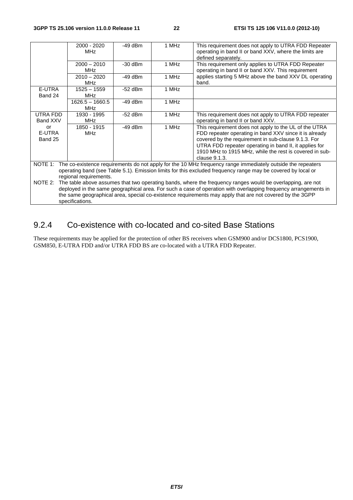|                         | 2000 - 2020<br><b>MHz</b>                                                                                                                                                                                                                                                                                                                                    | $-49$ dBm | 1 MHz                                                                                                                                                                                                                                                                                                                 | This requirement does not apply to UTRA FDD Repeater<br>operating in band II or band XXV, where the limits are<br>defined separately. |  |
|-------------------------|--------------------------------------------------------------------------------------------------------------------------------------------------------------------------------------------------------------------------------------------------------------------------------------------------------------------------------------------------------------|-----------|-----------------------------------------------------------------------------------------------------------------------------------------------------------------------------------------------------------------------------------------------------------------------------------------------------------------------|---------------------------------------------------------------------------------------------------------------------------------------|--|
|                         | $2000 - 2010$<br><b>MHz</b>                                                                                                                                                                                                                                                                                                                                  | $-30$ dBm | 1 MHz                                                                                                                                                                                                                                                                                                                 | This requirement only applies to UTRA FDD Repeater<br>operating in band II or band XXV. This requirement                              |  |
|                         | $2010 - 2020$<br><b>MH<sub>z</sub></b>                                                                                                                                                                                                                                                                                                                       | $-49$ dBm | 1 MHz                                                                                                                                                                                                                                                                                                                 | applies starting 5 MHz above the band XXV DL operating<br>band.                                                                       |  |
| E-UTRA<br>Band 24       | $1525 - 1559$<br><b>MHz</b>                                                                                                                                                                                                                                                                                                                                  | $-52$ dBm | 1 MHz                                                                                                                                                                                                                                                                                                                 |                                                                                                                                       |  |
|                         | $1626.5 - 1660.5$<br><b>MHz</b>                                                                                                                                                                                                                                                                                                                              | $-49$ dBm | 1 MHz                                                                                                                                                                                                                                                                                                                 |                                                                                                                                       |  |
| UTRA FDD<br>Band XXV    | 1930 - 1995<br><b>MHz</b>                                                                                                                                                                                                                                                                                                                                    | $-52$ dBm | 1 MHz                                                                                                                                                                                                                                                                                                                 | This requirement does not apply to UTRA FDD repeater<br>operating in band II or band XXV.                                             |  |
| or<br>E-UTRA<br>Band 25 | 1850 - 1915<br><b>MHz</b>                                                                                                                                                                                                                                                                                                                                    | $-49$ dBm | 1 MHz<br>This requirement does not apply to the UL of the UTRA<br>FDD repeater operating in band XXV since it is already<br>covered by the requirement in sub-clause 9.1.3. For<br>UTRA FDD repeater operating in band II, it applies for<br>1910 MHz to 1915 MHz, while the rest is covered in sub-<br>clause 9.1.3. |                                                                                                                                       |  |
| NOTE 1:                 | The co-existence requirements do not apply for the 10 MHz frequency range immediately outside the repeaters<br>operating band (see Table 5.1). Emission limits for this excluded frequency range may be covered by local or<br>regional requirements.                                                                                                        |           |                                                                                                                                                                                                                                                                                                                       |                                                                                                                                       |  |
| NOTE 2:                 | The table above assumes that two operating bands, where the frequency ranges would be overlapping, are not<br>deployed in the same geographical area. For such a case of operation with overlapping frequency arrangements in<br>the same geographical area, special co-existence requirements may apply that are not covered by the 3GPP<br>specifications. |           |                                                                                                                                                                                                                                                                                                                       |                                                                                                                                       |  |

# 9.2.4 Co-existence with co-located and co-sited Base Stations

These requirements may be applied for the protection of other BS receivers when GSM900 and/or DCS1800, PCS1900, GSM850, E-UTRA FDD and/or UTRA FDD BS are co-located with a UTRA FDD Repeater.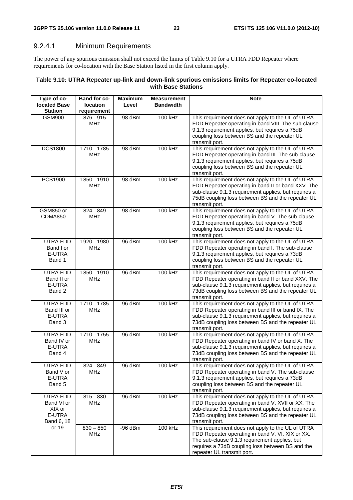## 9.2.4.1 Minimum Requirements

The power of any spurious emission shall not exceed the limits of Table 9.10 for a UTRA FDD Repeater where requirements for co-location with the Base Station listed in the first column apply.

#### **Table 9.10: UTRA Repeater up-link and down-link spurious emissions limits for Repeater co-located with Base Stations**

| Type of co-<br><b>located Base</b><br><b>Station</b>     | Band for co-<br>location<br>requirement | <b>Maximum</b><br>Level | <b>Measurement</b><br><b>Bandwidth</b> | <b>Note</b>                                                                                                                                                                                                                              |
|----------------------------------------------------------|-----------------------------------------|-------------------------|----------------------------------------|------------------------------------------------------------------------------------------------------------------------------------------------------------------------------------------------------------------------------------------|
| <b>GSM900</b>                                            | 876 - 915<br>MHz                        | $-98$ dBm               | 100 kHz                                | This requirement does not apply to the UL of UTRA<br>FDD Repeater operating in band VIII. The sub-clause<br>9.1.3 requirement applies, but requires a 75dB<br>coupling loss between BS and the repeater UL<br>transmit port.             |
| <b>DCS1800</b>                                           | 1710 - 1785<br><b>MHz</b>               | $-98$ dBm               | 100 kHz                                | This requirement does not apply to the UL of UTRA<br>FDD Repeater operating in band III. The sub-clause<br>9.1.3 requirement applies, but requires a 75dB<br>coupling loss between BS and the repeater UL<br>transmit port.              |
| PCS1900                                                  | 1850 - 1910<br><b>MHz</b>               | $-98$ dBm               | 100 kHz                                | This requirement does not apply to the UL of UTRA<br>FDD Repeater operating in band II or band XXV. The<br>sub-clause 9.1.3 requirement applies, but requires a<br>75dB coupling loss between BS and the repeater UL<br>transmit port.   |
| GSM850 or<br><b>CDMA850</b>                              | 824 - 849<br><b>MHz</b>                 | $-98$ dBm               | 100 kHz                                | This requirement does not apply to the UL of UTRA<br>FDD Repeater operating in band V. The sub-clause<br>9.1.3 requirement applies, but requires a 75dB<br>coupling loss between BS and the repeater UL<br>transmit port.                |
| <b>UTRA FDD</b><br>Band I or<br>E-UTRA<br>Band 1         | 1920 - 1980<br><b>MHz</b>               | $-96$ dBm               | 100 kHz                                | This requirement does not apply to the UL of UTRA<br>FDD Repeater operating in band I. The sub-clause<br>9.1.3 requirement applies, but requires a 73dB<br>coupling loss between BS and the repeater UL<br>transmit port.                |
| UTRA FDD<br>Band II or<br>E-UTRA<br>Band 2               | 1850 - 1910<br><b>MHz</b>               | $-96$ dBm               | 100 kHz                                | This requirement does not apply to the UL of UTRA<br>FDD Repeater operating in band II or band XXV. The<br>sub-clause 9.1.3 requirement applies, but requires a<br>73dB coupling loss between BS and the repeater UL<br>transmit port.   |
| <b>UTRA FDD</b><br>Band III or<br>E-UTRA<br>Band 3       | 1710 - 1785<br><b>MHz</b>               | $-96$ dBm               | 100 kHz                                | This requirement does not apply to the UL of UTRA<br>FDD Repeater operating in band III or band IX. The<br>sub-clause 9.1.3 requirement applies, but requires a<br>73dB coupling loss between BS and the repeater UL<br>transmit port.   |
| UTRA FDD<br>Band IV or<br>E-UTRA<br>Band 4               | 1710 - 1755<br><b>MHz</b>               | $-96$ dBm               | 100 kHz                                | This requirement does not apply to the UL of UTRA<br>FDD Repeater operating in band IV or band X. The<br>sub-clause 9.1.3 requirement applies, but requires a<br>73dB coupling loss between BS and the repeater UL<br>transmit port.     |
| UTRA FDD<br>Band V or<br>E-UTRA<br>Band 5                | 824 - 849<br><b>MHz</b>                 | $-96$ dBm               | 100 kHz                                | This requirement does not apply to the UL of UTRA<br>FDD Repeater operating in band V. The sub-clause<br>9.1.3 requirement applies, but requires a 73dB<br>coupling loss between BS and the repeater UL<br>transmit port.                |
| UTRA FDD<br>Band VI or<br>XIX or<br>E-UTRA<br>Band 6, 18 | $815 - 830$<br><b>MHz</b>               | $-96$ dBm               | 100 kHz                                | This requirement does not apply to the UL of UTRA<br>FDD Repeater operating in band V, XVII or XX. The<br>sub-clause 9.1.3 requirement applies, but requires a<br>73dB coupling loss between BS and the repeater UL<br>transmit port.    |
| or 19                                                    | $830 - 850$<br><b>MHz</b>               | $-96$ dBm               | 100 kHz                                | This requirement does not apply to the UL of UTRA<br>FDD Repeater operating in band V, VI, XIX or XX.<br>The sub-clause 9.1.3 requirement applies, but<br>requires a 73dB coupling loss between BS and the<br>repeater UL transmit port. |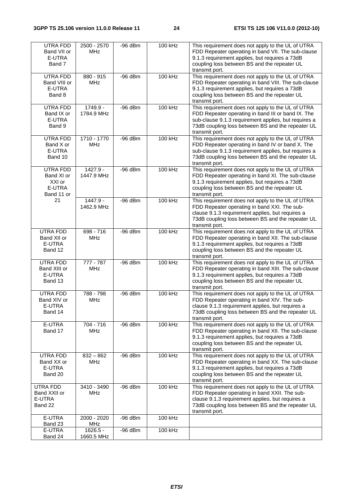| UTRA FDD<br>Band VII or<br>E-UTRA<br>Band 7              | 2500 - 2570<br><b>MHz</b> | $-96$ dBm | 100 kHz | This requirement does not apply to the UL of UTRA<br>FDD Repeater operating in band VII. The sub-clause<br>9.1.3 requirement applies, but requires a 73dB<br>coupling loss between BS and the repeater UL<br>transmit port.            |
|----------------------------------------------------------|---------------------------|-----------|---------|----------------------------------------------------------------------------------------------------------------------------------------------------------------------------------------------------------------------------------------|
| UTRA FDD<br>Band VIII or<br>E-UTRA<br>Band 8             | $880 - 915$<br><b>MHz</b> | $-96$ dBm | 100 kHz | This requirement does not apply to the UL of UTRA<br>FDD Repeater operating in band VIII. The sub-clause<br>9.1.3 requirement applies, but requires a 73dB<br>coupling loss between BS and the repeater UL<br>transmit port.           |
| <b>UTRA FDD</b><br>Band IX or<br>E-UTRA<br>Band 9        | 1749.9 -<br>1784.9 MHz    | $-96$ dBm | 100 kHz | This requirement does not apply to the UL of UTRA<br>FDD Repeater operating in band III or band IX. The<br>sub-clause 9.1.3 requirement applies, but requires a<br>73dB coupling loss between BS and the repeater UL<br>transmit port. |
| UTRA FDD<br>Band X or<br>E-UTRA<br>Band 10               | 1710 - 1770<br><b>MHz</b> | $-96$ dBm | 100 kHz | This requirement does not apply to the UL of UTRA<br>FDD Repeater operating in band IV or band X. The<br>sub-clause 9.1.3 requirement applies, but requires a<br>73dB coupling loss between BS and the repeater UL<br>transmit port.   |
| UTRA FDD<br>Band XI or<br>XXI or<br>E-UTRA<br>Band 11 or | 1427.9 -<br>1447.9 MHz    | $-96$ dBm | 100 kHz | This requirement does not apply to the UL of UTRA<br>FDD Repeater operating in band XI. The sub-clause<br>9.1.3 requirement applies, but requires a 73dB<br>coupling loss between BS and the repeater UL<br>transmit port.             |
| 21                                                       | 1447.9 -<br>1462.9 MHz    | $-96$ dBm | 100 kHz | This requirement does not apply to the UL of UTRA<br>FDD Repeater operating in band XXI. The sub-<br>clause 9.1.3 requirement applies, but requires a<br>73dB coupling loss between BS and the repeater UL<br>transmit port.           |
| UTRA FDD<br>Band XII or<br>E-UTRA<br>Band 12             | 698 - 716<br>MHz          | $-96$ dBm | 100 kHz | This requirement does not apply to the UL of UTRA<br>FDD Repeater operating in band XII. The sub-clause<br>9.1.3 requirement applies, but requires a 73dB<br>coupling loss between BS and the repeater UL<br>transmit port.            |
| UTRA FDD<br>Band XIII or<br>E-UTRA<br>Band 13            | 777 - 787<br><b>MHz</b>   | $-96$ dBm | 100 kHz | This requirement does not apply to the UL of UTRA<br>FDD Repeater operating in band XIII. The sub-clause<br>9.1.3 requirement applies, but requires a 73dB<br>coupling loss between BS and the repeater UL<br>transmit port.           |
| UTRA FDD<br>Band XIV or<br>E-UTRA<br>Band 14             | 788 - 798<br><b>MHz</b>   | $-96$ dBm | 100 kHz | This requirement does not apply to the UL of UTRA<br>FDD Repeater operating in band XIV. The sub-<br>clause 9.1.3 requirement applies, but requires a<br>73dB coupling loss between BS and the repeater UL<br>transmit port.           |
| E-UTRA<br>Band 17                                        | 704 - 716<br><b>MHz</b>   | $-96$ dBm | 100 kHz | This requirement does not apply to the UL of UTRA<br>FDD Repeater operating in band XII. The sub-clause<br>9.1.3 requirement applies, but requires a 73dB<br>coupling loss between BS and the repeater UL<br>transmit port.            |
| UTRA FDD<br>Band XX or<br>E-UTRA<br>Band 20              | $832 - 862$<br><b>MHz</b> | $-96$ dBm | 100 kHz | This requirement does not apply to the UL of UTRA<br>FDD Repeater operating in band XX. The sub-clause<br>9.1.3 requirement applies, but requires a 73dB<br>coupling loss between BS and the repeater UL<br>transmit port.             |
| UTRA FDD<br>Band XXII or<br>E-UTRA<br>Band 22            | 3410 - 3490<br><b>MHz</b> | $-96$ dBm | 100 kHz | This requirement does not apply to the UL of UTRA<br>FDD Repeater operating in band XXII. The sub-<br>clause 9.1.3 requirement applies, but requires a<br>73dB coupling loss between BS and the repeater UL<br>transmit port.          |
| E-UTRA<br>Band 23                                        | 2000 - 2020<br>MHz        | $-96$ dBm | 100 kHz |                                                                                                                                                                                                                                        |
| E-UTRA<br>Band 24                                        | $1626.5 -$<br>1660.5 MHz  | $-96$ dBm | 100 kHz |                                                                                                                                                                                                                                        |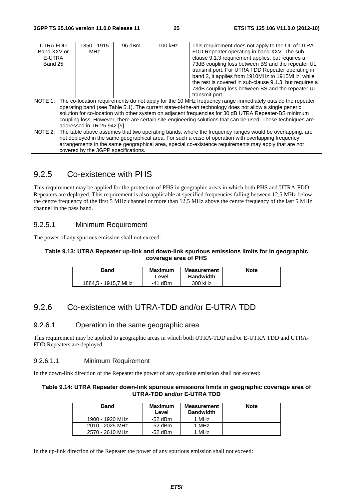| UTRA FDD<br>Band XXV or |                                                                                                                                                                                                                                                                                                                                                                                                                                                                                     | 1850 - 1915<br>MHz                  | $-96$ dBm | This requirement does not apply to the UL of UTRA<br>100 kHz<br>FDD Repeater operating in band XXV. The sub-                                                                                                                                                                                                                  |                                                                                                              |  |  |  |
|-------------------------|-------------------------------------------------------------------------------------------------------------------------------------------------------------------------------------------------------------------------------------------------------------------------------------------------------------------------------------------------------------------------------------------------------------------------------------------------------------------------------------|-------------------------------------|-----------|-------------------------------------------------------------------------------------------------------------------------------------------------------------------------------------------------------------------------------------------------------------------------------------------------------------------------------|--------------------------------------------------------------------------------------------------------------|--|--|--|
| E-UTRA                  |                                                                                                                                                                                                                                                                                                                                                                                                                                                                                     |                                     |           |                                                                                                                                                                                                                                                                                                                               | clause 9.1.3 requirement applies, but requires a                                                             |  |  |  |
| Band 25                 |                                                                                                                                                                                                                                                                                                                                                                                                                                                                                     |                                     |           |                                                                                                                                                                                                                                                                                                                               | 73dB coupling loss between BS and the repeater UL<br>transmit port. For UTRA FDD Repeater operating in       |  |  |  |
|                         |                                                                                                                                                                                                                                                                                                                                                                                                                                                                                     |                                     |           |                                                                                                                                                                                                                                                                                                                               | band 2, it applies from 1910MHz to 1915MHz, while<br>the rest is covered in sub-clause 9.1.3, but requires a |  |  |  |
|                         |                                                                                                                                                                                                                                                                                                                                                                                                                                                                                     |                                     |           |                                                                                                                                                                                                                                                                                                                               | 73dB coupling loss between BS and the repeater UL<br>transmit port.                                          |  |  |  |
|                         | NOTE 1: The co-location requirements do not apply for the 10 MHz frequency range immediately outside the repeater<br>operating band (see Table 5.1). The current state-of-the-art technology does not allow a single generic<br>solution for co-location with other system on adjacent frequencies for 30 dB UTRA Repeater-BS minimum<br>coupling loss. However, there are certain site-engineering solutions that can be used. These techniques are<br>addressed in TR 25.942 [5]. |                                     |           |                                                                                                                                                                                                                                                                                                                               |                                                                                                              |  |  |  |
|                         |                                                                                                                                                                                                                                                                                                                                                                                                                                                                                     | covered by the 3GPP specifications. |           | NOTE 2: The table above assumes that two operating bands, where the frequency ranges would be overlapping, are<br>not deployed in the same geographical area. For such a case of operation with overlapping frequency<br>arrangements in the same geographical area, special co-existence requirements may apply that are not |                                                                                                              |  |  |  |

## 9.2.5 Co-existence with PHS

This requirement may be applied for the protection of PHS in geographic areas in which both PHS and UTRA-FDD Repeaters are deployed. This requirement is also applicable at specified frequencies falling between 12,5 MHz below the centre frequency of the first 5 MHz channel or more than 12,5 MHz above the centre frequency of the last 5 MHz channel in the pass band.

#### 9.2.5.1 Minimum Requirement

The power of any spurious emission shall not exceed:

#### **Table 9.13: UTRA Repeater up-link and down-link spurious emissions limits for in geographic coverage area of PHS**

| Band                | <b>Maximum</b><br>Level | <b>Measurement</b><br><b>Bandwidth</b> | <b>Note</b> |
|---------------------|-------------------------|----------------------------------------|-------------|
| 1884.5 - 1915.7 MHz | $-41$ dBm               | 300 kHz                                |             |

## 9.2.6 Co-existence with UTRA-TDD and/or E-UTRA TDD

#### 9.2.6.1 Operation in the same geographic area

This requirement may be applied to geographic areas in which both UTRA-TDD and/or E-UTRA TDD and UTRA-FDD Repeaters are deployed.

#### 9.2.6.1.1 Minimum Requirement

In the down-link direction of the Repeater the power of any spurious emission shall not exceed:

#### **Table 9.14: UTRA Repeater down-link spurious emissions limits in geographic coverage area of UTRA-TDD and/or E-UTRA TDD**

| Band            | <b>Maximum</b><br>Level | <b>Measurement</b><br><b>Bandwidth</b> | <b>Note</b> |
|-----------------|-------------------------|----------------------------------------|-------------|
| 1900 - 1920 MHz | -52 dBm                 | 1 MHz                                  |             |
| 2010 - 2025 MHz | -52 dBm                 | 1 MHz                                  |             |
| 2570 - 2610 MHz | -52 dBm                 | 1 MHz                                  |             |

In the up-link direction of the Repeater the power of any spurious emission shall not exceed: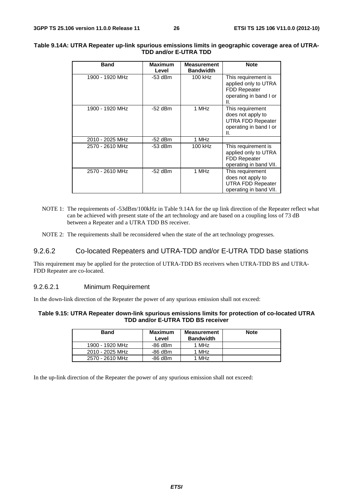| <b>Band</b>     | <b>Maximum</b><br>Level | <b>Measurement</b><br><b>Bandwidth</b> | <b>Note</b>                                                                                        |
|-----------------|-------------------------|----------------------------------------|----------------------------------------------------------------------------------------------------|
| 1900 - 1920 MHz | $-53$ dBm               | 100 kHz                                | This requirement is<br>applied only to UTRA<br><b>FDD Repeater</b><br>operating in band I or<br>Ш. |
| 1900 - 1920 MHz | $-52$ dBm               | 1 MHz                                  | This requirement<br>does not apply to<br><b>UTRA FDD Repeater</b><br>operating in band I or<br>Ш.  |
| 2010 - 2025 MHz | $-52$ dBm               | 1 MHz                                  |                                                                                                    |
| 2570 - 2610 MHz | $-53$ dBm               | 100 kHz                                | This requirement is<br>applied only to UTRA<br><b>FDD Repeater</b><br>operating in band VII.       |
| 2570 - 2610 MHz | $-52$ dBm               | 1 MHz                                  | This requirement<br>does not apply to<br><b>UTRA FDD Repeater</b><br>operating in band VII.        |

#### **Table 9.14A: UTRA Repeater up-link spurious emissions limits in geographic coverage area of UTRA-TDD and/or E-UTRA TDD**

- NOTE 1: The requirements of -53dBm/100kHz in Table 9.14A for the up link direction of the Repeater reflect what can be achieved with present state of the art technology and are based on a coupling loss of 73 dB between a Repeater and a UTRA TDD BS receiver.
- NOTE 2: The requirements shall be reconsidered when the state of the art technology progresses.

#### 9.2.6.2 Co-located Repeaters and UTRA-TDD and/or E-UTRA TDD base stations

This requirement may be applied for the protection of UTRA-TDD BS receivers when UTRA-TDD BS and UTRA-FDD Repeater are co-located.

#### 9.2.6.2.1 Minimum Requirement

In the down-link direction of the Repeater the power of any spurious emission shall not exceed:

#### **Table 9.15: UTRA Repeater down-link spurious emissions limits for protection of co-located UTRA TDD and/or E-UTRA TDD BS receiver**

| <b>Band</b>     | <b>Maximum</b><br>Level | Measurement<br><b>Bandwidth</b> | <b>Note</b> |
|-----------------|-------------------------|---------------------------------|-------------|
| 1900 - 1920 MHz | -86 dBm                 | 1 MHz                           |             |
| 2010 - 2025 MHz | -86 dBm                 | 1 MHz                           |             |
| 2570 - 2610 MHz | -86 dBm                 | 1 MHz                           |             |

In the up-link direction of the Repeater the power of any spurious emission shall not exceed: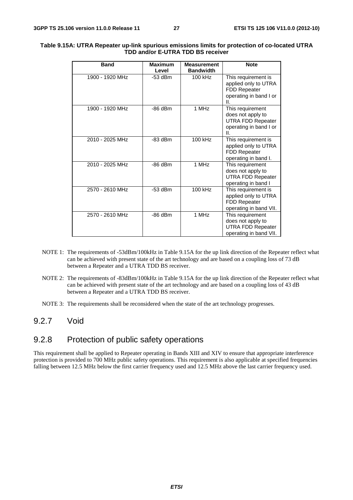| <b>Band</b>     | Maximum<br>Level | <b>Measurement</b><br><b>Bandwidth</b> | <b>Note</b>                                                                                            |
|-----------------|------------------|----------------------------------------|--------------------------------------------------------------------------------------------------------|
| 1900 - 1920 MHz | $-53$ dBm        | 100 kHz                                | This requirement is<br>applied only to UTRA<br>FDD Repeater<br>operating in band I or<br>Ш.            |
| 1900 - 1920 MHz | $-86$ dBm        | $1$ MH $z$                             | This requirement<br>does not apply to<br><b>UTRA FDD Repeater</b><br>operating in band I or<br>$\Pi$ . |
| 2010 - 2025 MHz | $-83$ dBm        | 100 kHz                                | This requirement is<br>applied only to UTRA<br>FDD Repeater<br>operating in band I.                    |
| 2010 - 2025 MHz | $-86$ dBm        | 1 MHz                                  | This requirement<br>does not apply to<br><b>UTRA FDD Repeater</b><br>operating in band I               |
| 2570 - 2610 MHz | $-53$ dBm        | 100 kHz                                | This requirement is<br>applied only to UTRA<br><b>FDD Repeater</b><br>operating in band VII.           |
| 2570 - 2610 MHz | $-86$ dBm        | 1 MHz                                  | This requirement<br>does not apply to<br><b>UTRA FDD Repeater</b><br>operating in band VII.            |

#### **Table 9.15A: UTRA Repeater up-link spurious emissions limits for protection of co-located UTRA TDD and/or E-UTRA TDD BS receiver**

- NOTE 1: The requirements of -53dBm/100kHz in Table 9.15A for the up link direction of the Repeater reflect what can be achieved with present state of the art technology and are based on a coupling loss of 73 dB between a Repeater and a UTRA TDD BS receiver.
- NOTE 2: The requirements of -83dBm/100kHz in Table 9.15A for the up link direction of the Repeater reflect what can be achieved with present state of the art technology and are based on a coupling loss of 43 dB between a Repeater and a UTRA TDD BS receiver.
- NOTE 3: The requirements shall be reconsidered when the state of the art technology progresses.

#### 9.2.7 Void

## 9.2.8 Protection of public safety operations

This requirement shall be applied to Repeater operating in Bands XIII and XIV to ensure that appropriate interference protection is provided to 700 MHz public safety operations. This requirement is also applicable at specified frequencies falling between 12.5 MHz below the first carrier frequency used and 12.5 MHz above the last carrier frequency used.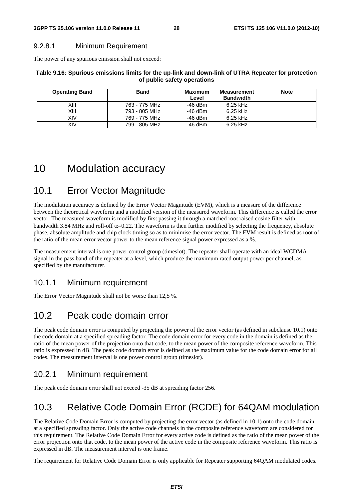#### 9.2.8.1 Minimum Requirement

The power of any spurious emission shall not exceed:

#### **Table 9.16: Spurious emissions limits for the up-link and down-link of UTRA Repeater for protection of public safety operations**

| <b>Operating Band</b> | <b>Band</b>   | Maximum<br>Level | Measurement<br><b>Bandwidth</b> | <b>Note</b> |
|-----------------------|---------------|------------------|---------------------------------|-------------|
| XIII                  | 763 - 775 MHz | -46 dBm          | $6.25$ kHz                      |             |
| XIII                  | 793 - 805 MHz | $-46$ dBm        | $6.25$ kHz                      |             |
| XIV                   | 769 - 775 MHz | -46 dBm          | $6.25$ kHz                      |             |
| XIV                   | 799 - 805 MHz | $-46$ dBm        | 6.25 kHz                        |             |

# 10 Modulation accuracy

# 10.1 Error Vector Magnitude

The modulation accuracy is defined by the Error Vector Magnitude (EVM), which is a measure of the difference between the theoretical waveform and a modified version of the measured waveform. This difference is called the error vector. The measured waveform is modified by first passing it through a matched root raised cosine filter with bandwidth 3.84 MHz and roll-off  $\alpha$ =0.22. The waveform is then further modified by selecting the frequency, absolute phase, absolute amplitude and chip clock timing so as to minimise the error vector. The EVM result is defined as root of the ratio of the mean error vector power to the mean reference signal power expressed as a %.

The measurement interval is one power control group (timeslot). The repeater shall operate with an ideal WCDMA signal in the pass band of the repeater at a level, which produce the maximum rated output power per channel, as specified by the manufacturer.

## 10.1.1 Minimum requirement

The Error Vector Magnitude shall not be worse than 12,5 %.

# 10.2 Peak code domain error

The peak code domain error is computed by projecting the power of the error vector (as defined in subclause 10.1) onto the code domain at a specified spreading factor. The code domain error for every code in the domain is defined as the ratio of the mean power of the projection onto that code, to the mean power of the composite reference waveform. This ratio is expressed in dB. The peak code domain error is defined as the maximum value for the code domain error for all codes. The measurement interval is one power control group (timeslot).

## 10.2.1 Minimum requirement

The peak code domain error shall not exceed -35 dB at spreading factor 256.

# 10.3 Relative Code Domain Error (RCDE) for 64QAM modulation

The Relative Code Domain Error is computed by projecting the error vector (as defined in 10.1) onto the code domain at a specified spreading factor. Only the active code channels in the composite reference waveform are considered for this requirement. The Relative Code Domain Error for every active code is defined as the ratio of the mean power of the error projection onto that code, to the mean power of the active code in the composite reference waveform. This ratio is expressed in dB. The measurement interval is one frame.

The requirement for Relative Code Domain Error is only applicable for Repeater supporting 64QAM modulated codes.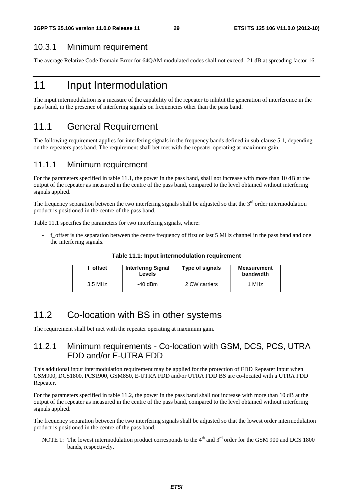#### 10.3.1 Minimum requirement

The average Relative Code Domain Error for 64QAM modulated codes shall not exceed -21 dB at spreading factor 16.

# 11 Input Intermodulation

The input intermodulation is a measure of the capability of the repeater to inhibit the generation of interference in the pass band, in the presence of interfering signals on frequencies other than the pass band.

## 11.1 General Requirement

The following requirement applies for interfering signals in the frequency bands defined in sub-clause 5.1, depending on the repeaters pass band. The requirement shall bet met with the repeater operating at maximum gain.

#### 11.1.1 Minimum requirement

For the parameters specified in table 11.1, the power in the pass band, shall not increase with more than 10 dB at the output of the repeater as measured in the centre of the pass band, compared to the level obtained without interfering signals applied.

The frequency separation between the two interfering signals shall be adjusted so that the  $3<sup>rd</sup>$  order intermodulation product is positioned in the centre of the pass band.

Table 11.1 specifies the parameters for two interfering signals, where:

- f\_offset is the separation between the centre frequency of first or last 5 MHz channel in the pass band and one the interfering signals.

| f offset | <b>Interfering Signal</b><br>Levels | Type of signals | <b>Measurement</b><br>bandwidth |
|----------|-------------------------------------|-----------------|---------------------------------|
| 3.5 MHz  | $-40$ dBm                           | 2 CW carriers   | 1 MHz                           |

**Table 11.1: Input intermodulation requirement** 

# 11.2 Co-location with BS in other systems

The requirement shall bet met with the repeater operating at maximum gain.

## 11.2.1 Minimum requirements - Co-location with GSM, DCS, PCS, UTRA FDD and/or E-UTRA FDD

This additional input intermodulation requirement may be applied for the protection of FDD Repeater input when GSM900, DCS1800, PCS1900, GSM850, E-UTRA FDD and/or UTRA FDD BS are co-located with a UTRA FDD Repeater.

For the parameters specified in table 11.2, the power in the pass band shall not increase with more than 10 dB at the output of the repeater as measured in the centre of the pass band, compared to the level obtained without interfering signals applied.

The frequency separation between the two interfering signals shall be adjusted so that the lowest order intermodulation product is positioned in the centre of the pass band.

NOTE 1: The lowest intermodulation product corresponds to the  $4<sup>th</sup>$  and  $3<sup>rd</sup>$  order for the GSM 900 and DCS 1800 bands, respectively.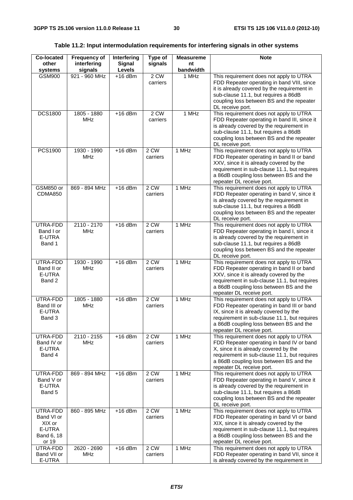#### **Table 11.2: Input intermodulation requirements for interfering signals in other systems**

| <b>Co-located</b><br>other                                        | <b>Frequency of</b>         | Interfering      | Type of<br>signals | <b>Measureme</b> | <b>Note</b>                                                                                                                                                                                                                                             |
|-------------------------------------------------------------------|-----------------------------|------------------|--------------------|------------------|---------------------------------------------------------------------------------------------------------------------------------------------------------------------------------------------------------------------------------------------------------|
| systems                                                           | interfering<br>signals      | Signal<br>Levels |                    | nt<br>bandwidth  |                                                                                                                                                                                                                                                         |
| <b>GSM900</b>                                                     | 921 - 960 MHz               | $+16$ dBm        | 2 CW<br>carriers   | 1 MHz            | This requirement does not apply to UTRA<br>FDD Repeater operating in band VIII, since<br>it is already covered by the requirement in<br>sub-clause 11.1, but requires a 86dB<br>coupling loss between BS and the repeater<br>DL receive port.           |
| <b>DCS1800</b>                                                    | 1805 - 1880<br><b>MHz</b>   | $+16$ dBm        | $2$ CW<br>carriers | 1 MHz            | This requirement does not apply to UTRA<br>FDD Repeater operating in band III, since it<br>is already covered by the requirement in<br>sub-clause 11.1, but requires a 86dB<br>coupling loss between BS and the repeater<br>DL receive port.            |
| PCS1900                                                           | 1930 - 1990<br><b>MHz</b>   | $+16$ dBm        | 2 CW<br>carriers   | 1 MHz            | This requirement does not apply to UTRA<br>FDD Repeater operating in band II or band<br>XXV, since it is already covered by the<br>requirement in sub-clause 11.1, but requires<br>a 86dB coupling loss between BS and the<br>repeater DL receive port. |
| GSM850 or<br>CDMA850                                              | 869 - 894 MHz               | $+16$ dBm        | 2 CW<br>carriers   | 1 MHz            | This requirement does not apply to UTRA<br>FDD Repeater operating in band V, since it<br>is already covered by the requirement in<br>sub-clause 11.1, but requires a 86dB<br>coupling loss between BS and the repeater<br>DL receive port.              |
| UTRA-FDD<br>Band I or<br>E-UTRA<br>Band 1                         | $2110 - 2170$<br><b>MHz</b> | $+16$ dBm        | 2 CW<br>carriers   | 1 MHz            | This requirement does not apply to UTRA<br>FDD Repeater operating in band I, since it<br>is already covered by the requirement in<br>sub-clause 11.1, but requires a 86dB<br>coupling loss between BS and the repeater<br>DL receive port.              |
| UTRA-FDD<br>Band II or<br>E-UTRA<br>Band 2                        | 1930 - 1990<br><b>MHz</b>   | $+16$ dBm        | $2$ CW<br>carriers | 1 MHz            | This requirement does not apply to UTRA<br>FDD Repeater operating in band II or band<br>XXV, since it is already covered by the<br>requirement in sub-clause 11.1, but requires<br>a 86dB coupling loss between BS and the<br>repeater DL receive port. |
| UTRA-FDD<br>Band III or<br>E-UTRA<br>Band 3                       | 1805 - 1880<br><b>MHz</b>   | $+16$ dBm        | $2$ CW<br>carriers | 1 MHz            | This requirement does not apply to UTRA<br>FDD Repeater operating in band III or band<br>IX, since it is already covered by the<br>requirement in sub-clause 11.1, but requires<br>a 86dB coupling loss between BS and the<br>repeater DL receive port. |
| UTRA-FDD<br>Band IV or<br>E-UTRA<br>Band 4                        | 2110 - 2155<br><b>MHz</b>   | $+16$ dBm        | 2 CW<br>carriers   | 1 MHz            | This requirement does not apply to UTRA<br>FDD Repeater operating in band IV or band<br>X, since it is already covered by the<br>requirement in sub-clause 11.1, but requires<br>a 86dB coupling loss between BS and the<br>repeater DL receive port.   |
| UTRA-FDD<br>Band V or<br>E-UTRA<br>Band 5                         | 869 - 894 MHz               | $+16$ dBm        | 2 CW<br>carriers   | 1 MHz            | This requirement does not apply to UTRA<br>FDD Repeater operating in band V, since it<br>is already covered by the requirement in<br>sub-clause 11.1, but requires a 86dB<br>coupling loss between BS and the repeater<br>DL receive port.              |
| UTRA-FDD<br>Band VI or<br>XIX or<br>E-UTRA<br>Band 6, 18<br>or 19 | 860 - 895 MHz               | $+16$ dBm        | 2 CW<br>carriers   | 1 MHz            | This requirement does not apply to UTRA<br>FDD Repeater operating in band VI or band<br>XIX, since it is already covered by the<br>requirement in sub-clause 11.1, but requires<br>a 86dB coupling loss between BS and the<br>repeater DL receive port. |
| UTRA-FDD<br>Band VII or<br>E-UTRA                                 | 2620 - 2690<br>MHz          | $+16$ dBm        | 2 CW<br>carriers   | 1 MHz            | This requirement does not apply to UTRA<br>FDD Repeater operating in band VII, since it<br>is already covered by the requirement in                                                                                                                     |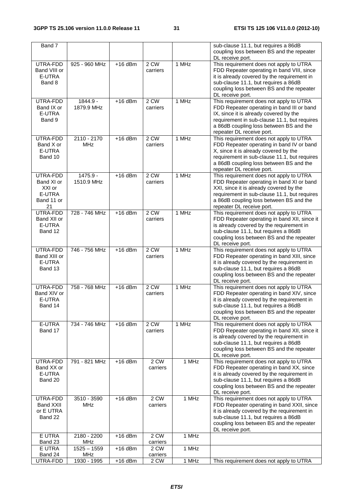| Band 7                                                         |                             |           |                    |       | sub-clause 11.1, but requires a 86dB<br>coupling loss between BS and the repeater                                                                                                                                                                                 |
|----------------------------------------------------------------|-----------------------------|-----------|--------------------|-------|-------------------------------------------------------------------------------------------------------------------------------------------------------------------------------------------------------------------------------------------------------------------|
| UTRA-FDD<br>Band VIII or<br>E-UTRA<br>Band 8                   | 925 - 960 MHz               | $+16$ dBm | 2 CW<br>carriers   | 1 MHz | DL receive port.<br>This requirement does not apply to UTRA<br>FDD Repeater operating in band VIII, since<br>it is already covered by the requirement in<br>sub-clause 11.1, but requires a 86dB<br>coupling loss between BS and the repeater<br>DL receive port. |
| UTRA-FDD<br>Band IX or<br>E-UTRA<br>Band 9                     | 1844.9 -<br>1879.9 MHz      | $+16$ dBm | 2 CW<br>carriers   | 1 MHz | This requirement does not apply to UTRA<br>FDD Repeater operating in band III or band<br>IX, since it is already covered by the<br>requirement in sub-clause 11.1, but requires<br>a 86dB coupling loss between BS and the<br>repeater DL receive port.           |
| UTRA-FDD<br>Band X or<br>E-UTRA<br>Band 10                     | 2110 - 2170<br><b>MHz</b>   | $+16$ dBm | 2 CW<br>carriers   | 1 MHz | This requirement does not apply to UTRA<br>FDD Repeater operating in band IV or band<br>X, since it is already covered by the<br>requirement in sub-clause 11.1, but requires<br>a 86dB coupling loss between BS and the<br>repeater DL receive port.             |
| UTRA-FDD<br>Band XI or<br>XXI or<br>E-UTRA<br>Band 11 or<br>21 | 1475.9 -<br>1510.9 MHz      | $+16$ dBm | $2$ CW<br>carriers | 1 MHz | This requirement does not apply to UTRA<br>FDD Repeater operating in band XI or band<br>XXI, since it is already covered by the<br>requirement in sub-clause 11.1, but requires<br>a 86dB coupling loss between BS and the<br>repeater DL receive port.           |
| UTRA-FDD<br>Band XII or<br>E-UTRA<br>Band 12                   | 728 - 746 MHz               | $+16$ dBm | 2 CW<br>carriers   | 1 MHz | This requirement does not apply to UTRA<br>FDD Repeater operating in band XII, since it<br>is already covered by the requirement in<br>sub-clause 11.1, but requires a 86dB<br>coupling loss between BS and the repeater<br>DL receive port.                      |
| UTRA-FDD<br>Band XIII or<br>E-UTRA<br>Band 13                  | 746 - 756 MHz               | $+16$ dBm | $2$ CW<br>carriers | 1 MHz | This requirement does not apply to UTRA<br>FDD Repeater operating in band XIII, since<br>it is already covered by the requirement in<br>sub-clause 11.1, but requires a 86dB<br>coupling loss between BS and the repeater<br>DL receive port.                     |
| UTRA-FDD<br>Band XIV or<br>E-UTRA<br>Band 14                   | 758 - 768 MHz               | $+16$ dBm | 2 CW<br>carriers   | 1 MHz | This requirement does not apply to UTRA<br>FDD Repeater operating in band XIV, since<br>it is already covered by the requirement in<br>sub-clause 11.1, but requires a 86dB<br>coupling loss between BS and the repeater<br>DL receive port.                      |
| E-UTRA<br>Band 17                                              | 734 - 746 MHz               | $+16$ dBm | 2 CW<br>carriers   | 1 MHz | This requirement does not apply to UTRA<br>FDD Repeater operating in band XII, since it<br>is already covered by the requirement in<br>sub-clause 11.1, but requires a 86dB<br>coupling loss between BS and the repeater<br>DL receive port.                      |
| UTRA-FDD<br>Band XX or<br>E-UTRA<br>Band 20                    | 791 - 821 MHz               | $+16$ dBm | $2$ CW<br>carriers | 1 MHz | This requirement does not apply to UTRA<br>FDD Repeater operating in band XX, since<br>it is already covered by the requirement in<br>sub-clause 11.1, but requires a 86dB<br>coupling loss between BS and the repeater<br>DL receive port.                       |
| UTRA-FDD<br><b>Band XXII</b><br>or E UTRA<br>Band 22           | 3510 - 3590<br><b>MHz</b>   | $+16$ dBm | 2 CW<br>carriers   | 1 MHz | This requirement does not apply to UTRA<br>FDD Repeater operating in band XXII, since<br>it is already covered by the requirement in<br>sub-clause 11.1, but requires a 86dB<br>coupling loss between BS and the repeater<br>DL receive port.                     |
| E UTRA<br>Band 23                                              | 2180 - 2200<br>MHz          | $+16$ dBm | 2 CW<br>carriers   | 1 MHz |                                                                                                                                                                                                                                                                   |
| E UTRA<br>Band 24                                              | $1525 - 1559$<br><b>MHz</b> | $+16$ dBm | 2 CW<br>carriers   | 1 MHz |                                                                                                                                                                                                                                                                   |
| UTRA-FDD                                                       | 1930 - 1995                 | $+16$ dBm | 2 CW               | 1 MHz | This requirement does not apply to UTRA                                                                                                                                                                                                                           |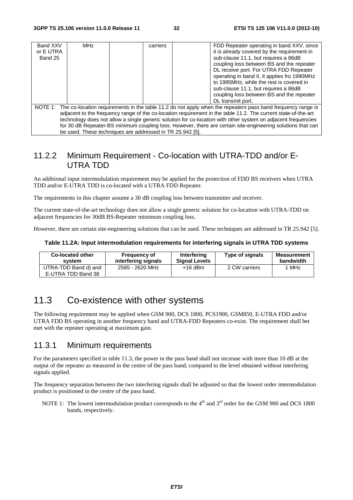| Band XXV<br>or E UTRA<br>Band 25 | <b>MHz</b>                                                                                                          | carriers |  | FDD Repeater operating in band XXV, since<br>it is already covered by the requirement in<br>sub-clause 11.1, but requires a 86dB<br>coupling loss between BS and the repeater<br>DL receive port. For UTRA FDD Repeater<br>operating in band II, it applies fro 1990MHz |  |  |  |
|----------------------------------|---------------------------------------------------------------------------------------------------------------------|----------|--|-------------------------------------------------------------------------------------------------------------------------------------------------------------------------------------------------------------------------------------------------------------------------|--|--|--|
|                                  |                                                                                                                     |          |  | to 1995MHz, while the rest is covered in                                                                                                                                                                                                                                |  |  |  |
|                                  |                                                                                                                     |          |  | sub-clause 11.1, but requires a 86dB                                                                                                                                                                                                                                    |  |  |  |
|                                  |                                                                                                                     |          |  | coupling loss between BS and the repeater                                                                                                                                                                                                                               |  |  |  |
|                                  |                                                                                                                     |          |  | DL transmit port.                                                                                                                                                                                                                                                       |  |  |  |
|                                  | NOTE 1: The co-location requirements in the table 11.2 do not apply when the repeaters pass band frequency range is |          |  |                                                                                                                                                                                                                                                                         |  |  |  |
|                                  | adjacent to the frequency range of the co-location requirement in the table 11.2. The current state-of-the-art      |          |  |                                                                                                                                                                                                                                                                         |  |  |  |
|                                  | technology does not allow a single generic solution for co-location with other system on adjacent frequencies       |          |  |                                                                                                                                                                                                                                                                         |  |  |  |
|                                  |                                                                                                                     |          |  | for 30 dB Repeater-BS minimum coupling loss. However, there are certain site-engineering solutions that can                                                                                                                                                             |  |  |  |

## 11.2.2 Minimum Requirement - Co-location with UTRA-TDD and/or E-UTRA TDD

An additional input intermodulation requirement may be applied for the protection of FDD BS receivers when UTRA TDD and/or E-UTRA TDD is co-located with a UTRA FDD Repeater.

The requirements in this chapter assume a 30 dB coupling loss between transmitter and receiver.

be used. These techniques are addressed in TR 25.942 [5].

The current state-of-the-art technology does not allow a single generic solution for co-location with UTRA-TDD on adjacent frequencies for 30dB BS-Repeater minimum coupling loss.

However, there are certain site-engineering solutions that can be used. These techniques are addressed in TR 25.942 [5].

#### **Table 11.2A: Input intermodulation requirements for interfering signals in UTRA TDD systems**

| Co-located other                           | <b>Frequency of</b> | Interfering          | Type of signals | <b>Measurement</b> |
|--------------------------------------------|---------------------|----------------------|-----------------|--------------------|
| system                                     | interfering signals | <b>Signal Levels</b> |                 | bandwidth          |
| UTRA-TDD Band d) and<br>E-UTRA TDD Band 38 | 2585 - 2620 MHz     | $+16$ dBm            | 2 CW carriers   | 1 MHz              |

## 11.3 Co-existence with other systems

The following requirement may be applied when GSM 900, DCS 1800, PCS1900, GSM850, E-UTRA FDD and/or UTRA FDD BS operating in another frequency band and UTRA-FDD Repeaters co-exist. The requirement shall bet met with the repeater operating at maximum gain.

#### 11.3.1 Minimum requirements

For the parameters specified in table 11.3, the power in the pass band shall not increase with more than 10 dB at the output of the repeater as measured in the centre of the pass band, compared to the level obtained without interfering signals applied.

The frequency separation between the two interfering signals shall be adjusted so that the lowest order intermodulation product is positioned in the centre of the pass band.

NOTE 1: The lowest intermodulation product corresponds to the 4<sup>th</sup> and 3<sup>rd</sup> order for the GSM 900 and DCS 1800 bands, respectively.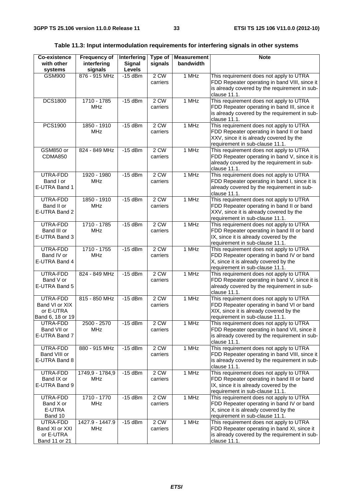| Table 11.3: Input intermodulation requirements for interfering signals in other systems |  |  |  |  |  |
|-----------------------------------------------------------------------------------------|--|--|--|--|--|
|-----------------------------------------------------------------------------------------|--|--|--|--|--|

| Co-existence<br>with other<br>systems                       | <b>Frequency of</b><br>interfering<br>signals | Interfering<br><b>Signal</b><br>Levels | Type of<br>signals | <b>Measurement</b><br>bandwidth | <b>Note</b>                                                                                                                                                        |
|-------------------------------------------------------------|-----------------------------------------------|----------------------------------------|--------------------|---------------------------------|--------------------------------------------------------------------------------------------------------------------------------------------------------------------|
| <b>GSM900</b>                                               | 876 - 915 MHz                                 | $-15$ dBm                              | 2 CW<br>carriers   | 1 MHz                           | This requirement does not apply to UTRA<br>FDD Repeater operating in band VIII, since it<br>is already covered by the requirement in sub-<br>clause 11.1.          |
| <b>DCS1800</b>                                              | 1710 - 1785<br><b>MHz</b>                     | $-15$ dBm                              | 2 CW<br>carriers   | 1 MHz                           | This requirement does not apply to UTRA<br>FDD Repeater operating in band III, since it<br>is already covered by the requirement in sub-<br>clause 11.1.           |
| PCS1900                                                     | 1850 - 1910<br><b>MHz</b>                     | $-15$ dBm                              | $2$ CW<br>carriers | 1 MHz                           | This requirement does not apply to UTRA<br>FDD Repeater operating in band II or band<br>XXV, since it is already covered by the<br>requirement in sub-clause 11.1. |
| GSM850 or<br><b>CDMA850</b>                                 | 824 - 849 MHz                                 | $-15$ dBm                              | 2 CW<br>carriers   | 1 MHz                           | This requirement does not apply to UTRA<br>FDD Repeater operating in band V, since it is<br>already covered by the requirement in sub-<br>clause 11.1.             |
| UTRA-FDD<br>Band I or<br>E-UTRA Band 1                      | 1920 - 1980<br><b>MHz</b>                     | $-15$ dBm                              | 2 CW<br>carriers   | 1 MHz                           | This requirement does not apply to UTRA<br>FDD Repeater operating in band I, since it is<br>already covered by the requirement in sub-<br>clause 11.1.             |
| UTRA-FDD<br>Band II or<br>E-UTRA Band 2                     | 1850 - 1910<br><b>MHz</b>                     | $-15$ dBm                              | 2 CW<br>carriers   | 1 MHz                           | This requirement does not apply to UTRA<br>FDD Repeater operating in band II or band<br>XXV, since it is already covered by the<br>requirement in sub-clause 11.1. |
| UTRA-FDD<br>Band III or<br>E-UTRA Band 3                    | 1710 - 1785<br><b>MHz</b>                     | $-15$ dBm                              | 2 CW<br>carriers   | 1 MHz                           | This requirement does not apply to UTRA<br>FDD Repeater operating in band III or band<br>IX, since it is already covered by the<br>requirement in sub-clause 11.1. |
| UTRA-FDD<br>Band IV or<br>E-UTRA Band 4                     | 1710 - 1755<br><b>MHz</b>                     | $-15$ dBm                              | 2 CW<br>carriers   | 1 MHz                           | This requirement does not apply to UTRA<br>FDD Repeater operating in band IV or band<br>X, since it is already covered by the<br>requirement in sub-clause 11.1.   |
| UTRA-FDD<br>Band V or<br>E-UTRA Band 5                      | 824 - 849 MHz                                 | $-15$ dBm                              | $2$ CW<br>carriers | 1 MHz                           | This requirement does not apply to UTRA<br>FDD Repeater operating in band V, since it is<br>already covered by the requirement in sub-<br>clause 11.1.             |
| UTRA-FDD<br>Band VI or XIX<br>or E-UTRA<br>Band 6, 18 or 19 | 815 - 850 MHz                                 | $-15$ dBm                              | 2 CW<br>carriers   | 1 MHz                           | This requirement does not apply to UTRA<br>FDD Repeater operating in band VI or band<br>XIX, since it is already covered by the<br>requirement in sub-clause 11.1. |
| UTRA-FDD<br>Band VII or<br>E-UTRA Band 7                    | 2500 - 2570<br><b>MHz</b>                     | $-15$ dBm                              | 2 CW<br>carriers   | 1 MHz                           | This requirement does not apply to UTRA<br>FDD Repeater operating in band VII, since it<br>is already covered by the requirement in sub-<br>clause 11.1.           |
| UTRA-FDD<br>Band VIII or<br>E-UTRA Band 8                   | 880 - 915 MHz                                 | $-15$ dBm                              | 2 CW<br>carriers   | 1 MHz                           | This requirement does not apply to UTRA<br>FDD Repeater operating in band VIII, since it<br>is already covered by the requirement in sub-<br>clause 11.1.          |
| UTRA-FDD<br>Band IX or<br>E-UTRA Band 9                     | 1749,9 - 1784,9<br>MHz                        | $-15$ dBm                              | 2 CW<br>carriers   | 1 MHz                           | This requirement does not apply to UTRA<br>FDD Repeater operating in band III or band<br>IX, since it is already covered by the<br>requirement in sub-clause 11.1. |
| UTRA-FDD<br>Band X or<br>E-UTRA<br>Band 10                  | 1710 - 1770<br><b>MHz</b>                     | $-15$ dBm                              | 2 CW<br>carriers   | 1 MHz                           | This requirement does not apply to UTRA<br>FDD Repeater operating in band IV or band<br>X, since it is already covered by the<br>requirement in sub-clause 11.1.   |
| UTRA-FDD<br>Band XI or XXI<br>or E-UTRA<br>Band 11 or 21    | 1427.9 - 1447.9<br>MHz                        | $-15$ dBm                              | 2 CW<br>carriers   | 1 MHz                           | This requirement does not apply to UTRA<br>FDD Repeater operating in band XI, since it<br>is already covered by the requirement in sub-<br>clause 11.1.            |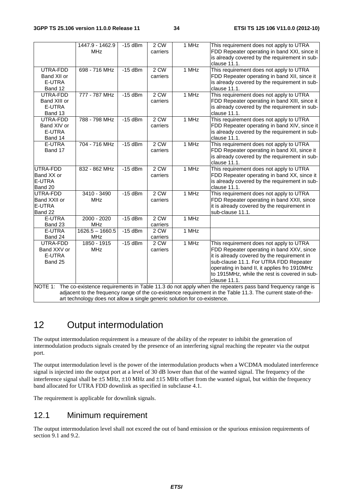|                                                                                                                                                                                                                                     | 1447.9 - 1462.9<br><b>MHz</b>   | $-15$ dBm | 2 CW<br>carriers   | 1 MHz              | This requirement does not apply to UTRA<br>FDD Repeater operating in band XXI, since it<br>is already covered by the requirement in sub-<br>clause 11.1.                                                                                                                                       |  |
|-------------------------------------------------------------------------------------------------------------------------------------------------------------------------------------------------------------------------------------|---------------------------------|-----------|--------------------|--------------------|------------------------------------------------------------------------------------------------------------------------------------------------------------------------------------------------------------------------------------------------------------------------------------------------|--|
| UTRA-FDD<br>Band XII or<br>E-UTRA<br>Band 12                                                                                                                                                                                        | 698 - 716 MHz                   | $-15$ dBm | $2$ CW<br>carriers | 1 MHz              | This requirement does not apply to UTRA<br>FDD Repeater operating in band XII, since it<br>is already covered by the requirement in sub-<br>clause 11.1.                                                                                                                                       |  |
| UTRA-FDD<br>Band XIII or<br>E-UTRA<br>Band 13                                                                                                                                                                                       | 777 - 787 MHz                   | $-15$ dBm | 2 CW<br>carriers   | 1 MHz              | This requirement does not apply to UTRA<br>FDD Repeater operating in band XIII, since it<br>is already covered by the requirement in sub-<br>clause 11.1.                                                                                                                                      |  |
| UTRA-FDD<br>Band XIV or<br>E-UTRA<br>Band 14                                                                                                                                                                                        | 788 - 798 MHz                   | $-15$ dBm | 2 CW<br>carriers   | 1 MHz              | This requirement does not apply to UTRA<br>FDD Repeater operating in band XIV, since it<br>is already covered by the requirement in sub-<br>clause 11.1.                                                                                                                                       |  |
| E-UTRA<br>Band 17                                                                                                                                                                                                                   | 704 - 716 MHz                   | $-15$ dBm | 2 CW<br>carriers   | 1 MHz              | This requirement does not apply to UTRA<br>FDD Repeater operating in band XII, since it<br>is already covered by the requirement in sub-<br>clause 11.1.                                                                                                                                       |  |
| UTRA-FDD<br>Band XX or<br>E-UTRA<br>Band 20                                                                                                                                                                                         | 832 - 862 MHz                   | $-15$ dBm | 2 CW<br>carriers   | $\overline{1}$ MHz | This requirement does not apply to UTRA<br>FDD Repeater operating in band XX, since it<br>is already covered by the requirement in sub-<br>clause 11.1.                                                                                                                                        |  |
| UTRA-FDD<br>Band XXII or<br>E-UTRA<br>Band 22                                                                                                                                                                                       | $3410 - 3490$<br><b>MHz</b>     | $-15$ dBm | $2$ CW<br>carriers | 1 MHz              | This requirement does not apply to UTRA<br>FDD Repeater operating in band XXII, since<br>it is already covered by the requirement in<br>sub-clause 11.1.                                                                                                                                       |  |
| E-UTRA<br>Band 23                                                                                                                                                                                                                   | 2000 - 2020<br><b>MHz</b>       | $-15$ dBm | $2$ CW<br>carriers | 1 MHz              |                                                                                                                                                                                                                                                                                                |  |
| E-UTRA<br>Band 24                                                                                                                                                                                                                   | $1626.5 - 1660.5$<br><b>MHz</b> | $-15$ dBm | 2 CW<br>carriers   | 1 MHz              |                                                                                                                                                                                                                                                                                                |  |
| UTRA-FDD<br>Band XXV or<br>E-UTRA<br>Band 25                                                                                                                                                                                        | 1850 - 1915<br><b>MHz</b>       | $-15$ dBm | 2 CW<br>carriers   | 1 MHz              | This requirement does not apply to UTRA<br>FDD Repeater operating in band XXV, since<br>it is already covered by the requirement in<br>sub-clause 11.1. For UTRA FDD Repeater<br>operating in band II, it applies fro 1910MHz<br>to 1915MHz, while the rest is covered in sub-<br>clause 11.1. |  |
| The co-existence requirements in Table 11.3 do not apply when the repeaters pass band frequency range is<br>NOTE 1:<br>adjacent to the frequency range of the co-existence requirement in the Table 11.3. The current state-of-the- |                                 |           |                    |                    |                                                                                                                                                                                                                                                                                                |  |

art technology does not allow a single generic solution for co-existence.

# 12 Output intermodulation

The output intermodulation requirement is a measure of the ability of the repeater to inhibit the generation of intermodulation products signals created by the presence of an interfering signal reaching the repeater via the output port.

The output intermodulation level is the power of the intermodulation products when a WCDMA modulated interference signal is injected into the output port at a level of 30 dB lower than that of the wanted signal. The frequency of the interference signal shall be ±5 MHz, ±10 MHz and ±15 MHz offset from the wanted signal, but within the frequency band allocated for UTRA FDD downlink as specified in subclause 4.1.

The requirement is applicable for downlink signals.

## 12.1 Minimum requirement

The output intermodulation level shall not exceed the out of band emission or the spurious emission requirements of section 9.1 and 9.2.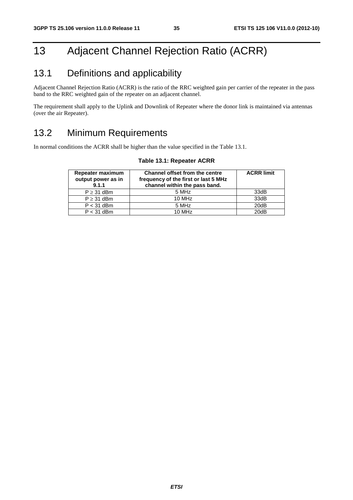# 13 Adjacent Channel Rejection Ratio (ACRR)

# 13.1 Definitions and applicability

Adjacent Channel Rejection Ratio (ACRR) is the ratio of the RRC weighted gain per carrier of the repeater in the pass band to the RRC weighted gain of the repeater on an adjacent channel.

The requirement shall apply to the Uplink and Downlink of Repeater where the donor link is maintained via antennas (over the air Repeater).

# 13.2 Minimum Requirements

In normal conditions the ACRR shall be higher than the value specified in the Table 13.1.

| Repeater maximum<br>output power as in<br>9.1.1 | <b>Channel offset from the centre</b><br>frequency of the first or last 5 MHz<br>channel within the pass band. | <b>ACRR limit</b> |
|-------------------------------------------------|----------------------------------------------------------------------------------------------------------------|-------------------|
| $P \geq 31$ dBm                                 | 5 MHz                                                                                                          | 33dB              |
| $P \geq 31$ dBm                                 | 10 MHz                                                                                                         | 33dB              |
| $P < 31$ dBm                                    | 5 MHz                                                                                                          | 20dB              |
| $P < 31$ dBm                                    | $10$ MH <sub>z</sub>                                                                                           | 20dB              |

#### **Table 13.1: Repeater ACRR**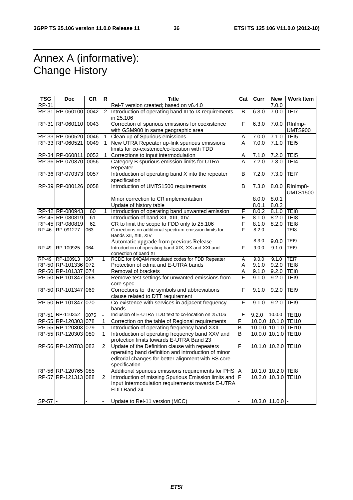# Annex A (informative): Change History

| <b>TSG</b>   | <b>Doc</b>          | <b>CR</b> | R.             | <b>Title</b>                                                                                                                                                                  | Cat            | Curr  | <b>New</b>          | <b>Work Item</b>            |
|--------------|---------------------|-----------|----------------|-------------------------------------------------------------------------------------------------------------------------------------------------------------------------------|----------------|-------|---------------------|-----------------------------|
| RP-31        |                     |           |                | Rel-7 version created; based on v6.4.0                                                                                                                                        |                |       | 7.0.0               |                             |
|              | RP-31 RP-060100     | 0042      | 2              | Introduction of operating band III to IX requirements<br>in 25.106                                                                                                            | B              | 6.3.0 | 7.0.0               | TEI7                        |
|              | RP-31 RP-060110     | 0043      |                | Correction of spurious emissions for coexistence<br>with GSM900 in same geographic area                                                                                       | F              | 6.3.0 | 7.0.0               | RInImp-<br><b>UMTS900</b>   |
|              | RP-33 RP-060520     | 0046      | $\mathbf{1}$   | Clean up of Spurious emissions                                                                                                                                                | A              | 7.0.0 | 7.1.0               | TEI5                        |
|              | RP-33 RP-060521     | 0049      | $\mathbf{1}$   | New UTRA Repeater up-link spurious emissions<br>limits for co-existence/co-location with TDD                                                                                  | A              | 7.0.0 | 7.1.0               | TEI5                        |
|              | RP-34 RP-060811     | 0052      | $\mathbf{1}$   | Corrections to input intermodulation                                                                                                                                          | Α              | 7.1.0 | 7.2.0               | TEI <sub>5</sub>            |
|              | RP-36 RP-070370     | 0056      |                | Category B spurious emission limits for UTRA<br>Repeater                                                                                                                      | A              | 7.2.0 | 7.3.0               | TEI4                        |
|              | RP-36 RP-070373     | 0057      |                | Introduction of operating band X into the repeater<br>specification                                                                                                           | B              | 7.2.0 | 7.3.0               | TEI7                        |
|              | RP-39 RP-080126     | 0058      |                | Introduction of UMTS1500 requirements                                                                                                                                         | B              | 7.3.0 | 8.0.0               | RInImp8-<br><b>UMTS1500</b> |
|              |                     |           |                | Minor correction to CR implementation                                                                                                                                         |                | 8.0.0 | 8.0.1               |                             |
|              |                     |           |                | Update of history table                                                                                                                                                       |                | 8.0.1 | 8.0.2               |                             |
|              | RP-42 RP-080943     | 60        | $\mathbf{1}$   | Introduction of operating band unwanted emission                                                                                                                              | $\overline{F}$ | 8.0.2 | 8.1.0 TEI8          |                             |
|              | RP-45 RP-080819     | 61        |                | Introduction of band XII, XIII, XIV                                                                                                                                           | F              | 8.1.0 | 8.2.0 TEI8          |                             |
|              | RP-45 RP-080819     | 62        |                | CR to limit the scope to FDD only to 25.106                                                                                                                                   | F              | 8.1.0 | 8.2.0               | TEI8                        |
|              | RP-46 RP-091277     | 063       |                | Corrections on additional spectrum emission limits for<br>Bands XII, XIII, XIV                                                                                                | F              | 8.2.0 |                     | TEI8                        |
|              |                     |           |                | Automatic upgrade from previous Release                                                                                                                                       |                | 8.3.0 | 9.0.0               | TEI9                        |
| <b>RP-49</b> | RP-100925           | 064       |                | Introduction of operating band XIX, XX and XXI and<br>correction of band XI                                                                                                   | F              | 9.0.0 | 9.1.0               | TEI9                        |
|              | RP-49 RP-100913     | 067       | $\mathbf{1}$   | RCDE for 64QAM modulated codes for FDD Repeater                                                                                                                               | Α              | 9.0.0 | 9.1.0               | TEI7                        |
|              | RP-50 RP-101336 072 |           |                | Protection of cdma and E-UTRA bands                                                                                                                                           | Α              | 9.1.0 | $9.2.0$ TEI8        |                             |
|              | RP-50 RP-101337 074 |           |                | Removal of brackets                                                                                                                                                           | Α              | 9.1.0 | 9.2.0 TEI8          |                             |
|              | RP-50 RP-101347 068 |           |                | Remove test settings for unwanted emissions from<br>core spec                                                                                                                 | F              | 9.1.0 | 9.2.0               | TE <sub>19</sub>            |
|              | RP-50 RP-101347 069 |           |                | Corrections to the symbols and abbreviations<br>clause related to DTT requirement                                                                                             | F              | 9.1.0 | 9.2.0               | TE <sub>19</sub>            |
|              | RP-50 RP-101347 070 |           |                | Co-existence with services in adjacent frequency<br>bands                                                                                                                     | F              | 9.1.0 | 9.2.0               | TEI9                        |
|              | RP-51 RP-110352     | 0075      |                | Inclusion of E-UTRA TDD text to co-location on 25.106                                                                                                                         | F              | 9.2.0 | 10.0.0              | <b>TEI10</b>                |
|              | RP-55 RP-120303 078 |           | $\mathbf{1}$   | Correction on the table of Regional requirements                                                                                                                              | F              |       | 10.0.0 10.1.0 TEI10 |                             |
|              | RP-55 RP-120303 079 |           | 1              | Introduction of operating frequency band XXII                                                                                                                                 | B              |       | 10.0.0 10.1.0 TEI10 |                             |
|              | RP-55 RP-120303 080 |           | $\mathbf{1}$   | Introduction of operating frequency band XXV and<br>protection limits towards E-UTRA Band 23                                                                                  | B              |       | 10.0.0 10.1.0 TEI10 |                             |
|              | RP-56 RP-120783 082 |           | 2              | Update of the Definition clause with repeaters<br>operating band definition and introduction of minor<br>editorial changes for better alignment with BS core<br>specification | F              |       | 10.1.0 10.2.0 TEI10 |                             |
|              | RP-56 RP-120765 085 |           |                | Additional spurious emissions requirements for PHS                                                                                                                            | A              |       | 10.1.0 10.2.0 TEI8  |                             |
|              | RP-57 RP-121313 088 |           | $\overline{2}$ | Introduction of missing Spurious Emission limits and F<br>Input Intermodulation requirements towards E-UTRA<br>FDD Band 24                                                    |                |       | 10.2.0 10.3.0 TEI10 |                             |
| $SP-57$ -    |                     |           |                | Update to Rel-11 version (MCC)                                                                                                                                                |                |       | $10.3.0$ 11.0.0 -   |                             |